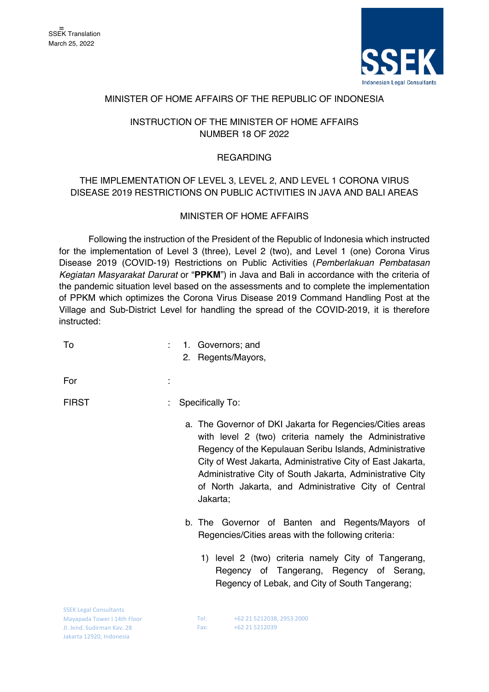

## MINISTER OF HOME AFFAIRS OF THE REPUBLIC OF INDONESIA

## INSTRUCTION OF THE MINISTER OF HOME AFFAIRS NUMBER 18 OF 2022

#### **REGARDING**

# THE IMPLEMENTATION OF LEVEL 3, LEVEL 2, AND LEVEL 1 CORONA VIRUS DISEASE 2019 RESTRICTIONS ON PUBLIC ACTIVITIES IN JAVA AND BALI AREAS

### MINISTER OF HOME AFFAIRS

Following the instruction of the President of the Republic of Indonesia which instructed for the implementation of Level 3 (three), Level 2 (two), and Level 1 (one) Corona Virus Disease 2019 (COVID-19) Restrictions on Public Activities (*Pemberlakuan Pembatasan Kegiatan Masyarakat Darurat* or "**PPKM**") in Java and Bali in accordance with the criteria of the pandemic situation level based on the assessments and to complete the implementation of PPKM which optimizes the Corona Virus Disease 2019 Command Handling Post at the Village and Sub-District Level for handling the spread of the COVID-2019, it is therefore instructed:

| To                                                           | 1. Governors; and<br>2. Regents/Mayors,                                                                                                                                                                                                                                                                                                                                      |
|--------------------------------------------------------------|------------------------------------------------------------------------------------------------------------------------------------------------------------------------------------------------------------------------------------------------------------------------------------------------------------------------------------------------------------------------------|
|                                                              |                                                                                                                                                                                                                                                                                                                                                                              |
| For                                                          |                                                                                                                                                                                                                                                                                                                                                                              |
| <b>FIRST</b>                                                 | Specifically To:                                                                                                                                                                                                                                                                                                                                                             |
|                                                              | a. The Governor of DKI Jakarta for Regencies/Cities areas<br>with level 2 (two) criteria namely the Administrative<br>Regency of the Kepulauan Seribu Islands, Administrative<br>City of West Jakarta, Administrative City of East Jakarta,<br>Administrative City of South Jakarta, Administrative City<br>of North Jakarta, and Administrative City of Central<br>Jakarta; |
|                                                              | b. The Governor of Banten and Regents/Mayors of<br>Regencies/Cities areas with the following criteria:                                                                                                                                                                                                                                                                       |
|                                                              | 1) level 2 (two) criteria namely City of Tangerang,<br>Regency of Tangerang, Regency of Serang,<br>Regency of Lebak, and City of South Tangerang;                                                                                                                                                                                                                            |
| <b>SSEK Legal Consultants</b><br>Mayapada Tower I 14th Floor | +62 21 5212038, 2953 2000<br>Tel:                                                                                                                                                                                                                                                                                                                                            |
|                                                              |                                                                                                                                                                                                                                                                                                                                                                              |

Fax: +62 21 5212039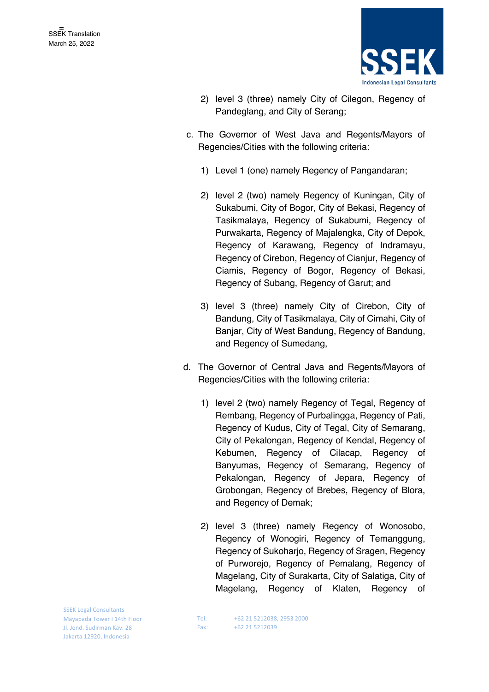

- 2) level 3 (three) namely City of Cilegon, Regency of Pandeglang, and City of Serang;
- c. The Governor of West Java and Regents/Mayors of Regencies/Cities with the following criteria:
	- 1) Level 1 (one) namely Regency of Pangandaran;
	- 2) level 2 (two) namely Regency of Kuningan, City of Sukabumi, City of Bogor, City of Bekasi, Regency of Tasikmalaya, Regency of Sukabumi, Regency of Purwakarta, Regency of Majalengka, City of Depok, Regency of Karawang, Regency of Indramayu, Regency of Cirebon, Regency of Cianjur, Regency of Ciamis, Regency of Bogor, Regency of Bekasi, Regency of Subang, Regency of Garut; and
	- 3) level 3 (three) namely City of Cirebon, City of Bandung, City of Tasikmalaya, City of Cimahi, City of Banjar, City of West Bandung, Regency of Bandung, and Regency of Sumedang,
- d. The Governor of Central Java and Regents/Mayors of Regencies/Cities with the following criteria:
	- 1) level 2 (two) namely Regency of Tegal, Regency of Rembang, Regency of Purbalingga, Regency of Pati, Regency of Kudus, City of Tegal, City of Semarang, City of Pekalongan, Regency of Kendal, Regency of Kebumen, Regency of Cilacap, Regency of Banyumas, Regency of Semarang, Regency of Pekalongan, Regency of Jepara, Regency of Grobongan, Regency of Brebes, Regency of Blora, and Regency of Demak;
	- 2) level 3 (three) namely Regency of Wonosobo, Regency of Wonogiri, Regency of Temanggung, Regency of Sukoharjo, Regency of Sragen, Regency of Purworejo, Regency of Pemalang, Regency of Magelang, City of Surakarta, City of Salatiga, City of Magelang, Regency of Klaten, Regency of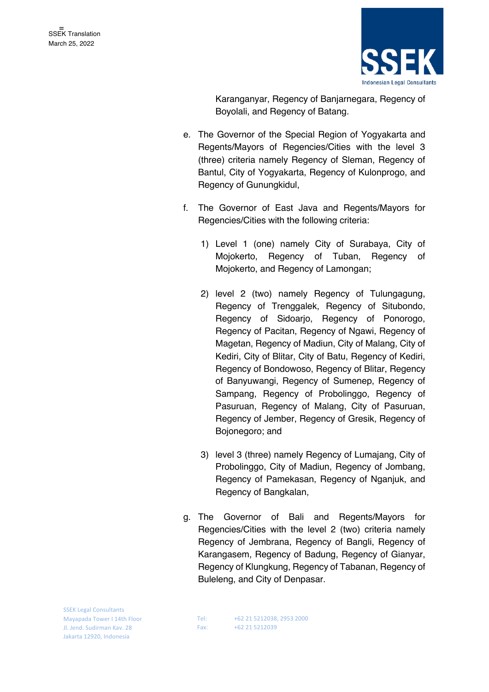

Karanganyar, Regency of Banjarnegara, Regency of Boyolali, and Regency of Batang.

- e. The Governor of the Special Region of Yogyakarta and Regents/Mayors of Regencies/Cities with the level 3 (three) criteria namely Regency of Sleman, Regency of Bantul, City of Yogyakarta, Regency of Kulonprogo, and Regency of Gunungkidul,
- f. The Governor of East Java and Regents/Mayors for Regencies/Cities with the following criteria:
	- 1) Level 1 (one) namely City of Surabaya, City of Mojokerto, Regency of Tuban, Regency of Mojokerto, and Regency of Lamongan;
	- 2) level 2 (two) namely Regency of Tulungagung, Regency of Trenggalek, Regency of Situbondo, Regency of Sidoarjo, Regency of Ponorogo, Regency of Pacitan, Regency of Ngawi, Regency of Magetan, Regency of Madiun, City of Malang, City of Kediri, City of Blitar, City of Batu, Regency of Kediri, Regency of Bondowoso, Regency of Blitar, Regency of Banyuwangi, Regency of Sumenep, Regency of Sampang, Regency of Probolinggo, Regency of Pasuruan, Regency of Malang, City of Pasuruan, Regency of Jember, Regency of Gresik, Regency of Bojonegoro; and
	- 3) level 3 (three) namely Regency of Lumajang, City of Probolinggo, City of Madiun, Regency of Jombang, Regency of Pamekasan, Regency of Nganjuk, and Regency of Bangkalan,
- g. The Governor of Bali and Regents/Mayors for Regencies/Cities with the level 2 (two) criteria namely Regency of Jembrana, Regency of Bangli, Regency of Karangasem, Regency of Badung, Regency of Gianyar, Regency of Klungkung, Regency of Tabanan, Regency of Buleleng, and City of Denpasar.

SSEK Legal Consultants Mayapada Tower I 14th Floor Jl. Jend. Sudirman Kav. 28 Jakarta 12920, Indonesia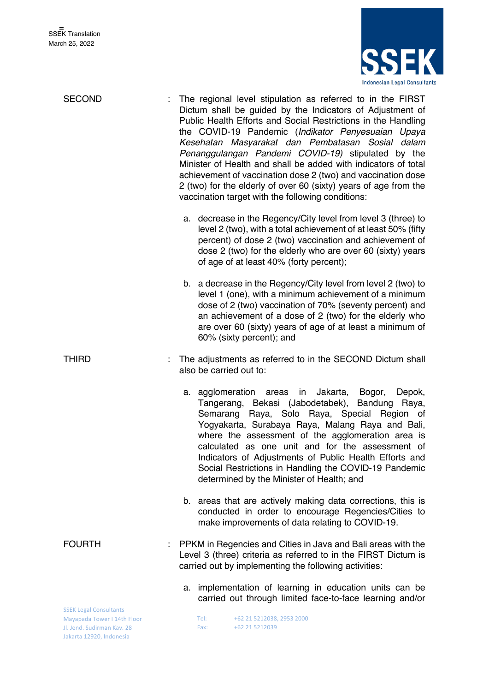Jakarta 12920, Indonesia



| <b>SECOND</b>                                                                              |    |                  | The regional level stipulation as referred to in the FIRST<br>Dictum shall be guided by the Indicators of Adjustment of<br>Public Health Efforts and Social Restrictions in the Handling<br>the COVID-19 Pandemic (Indikator Penyesuaian Upaya<br>Kesehatan Masyarakat dan Pembatasan Sosial dalam<br>Penanggulangan Pandemi COVID-19) stipulated by the<br>Minister of Health and shall be added with indicators of total<br>achievement of vaccination dose 2 (two) and vaccination dose<br>2 (two) for the elderly of over 60 (sixty) years of age from the<br>vaccination target with the following conditions: |
|--------------------------------------------------------------------------------------------|----|------------------|---------------------------------------------------------------------------------------------------------------------------------------------------------------------------------------------------------------------------------------------------------------------------------------------------------------------------------------------------------------------------------------------------------------------------------------------------------------------------------------------------------------------------------------------------------------------------------------------------------------------|
|                                                                                            |    |                  | a. decrease in the Regency/City level from level 3 (three) to<br>level 2 (two), with a total achievement of at least 50% (fifty<br>percent) of dose 2 (two) vaccination and achievement of<br>dose 2 (two) for the elderly who are over 60 (sixty) years<br>of age of at least 40% (forty percent);                                                                                                                                                                                                                                                                                                                 |
|                                                                                            |    |                  | b. a decrease in the Regency/City level from level 2 (two) to<br>level 1 (one), with a minimum achievement of a minimum<br>dose of 2 (two) vaccination of 70% (seventy percent) and<br>an achievement of a dose of 2 (two) for the elderly who<br>are over 60 (sixty) years of age of at least a minimum of<br>60% (sixty percent); and                                                                                                                                                                                                                                                                             |
| <b>THIRD</b>                                                                               |    |                  | The adjustments as referred to in the SECOND Dictum shall<br>also be carried out to:                                                                                                                                                                                                                                                                                                                                                                                                                                                                                                                                |
|                                                                                            |    | a. agglomeration | in Jakarta, Bogor, Depok,<br>areas<br>Tangerang, Bekasi (Jabodetabek), Bandung<br>Raya,<br>Semarang Raya, Solo Raya, Special Region of<br>Yogyakarta, Surabaya Raya, Malang Raya and Bali,<br>where the assessment of the agglomeration area is<br>calculated as one unit and for the assessment of<br>Indicators of Adjustments of Public Health Efforts and<br>Social Restrictions in Handling the COVID-19 Pandemic<br>determined by the Minister of Health; and                                                                                                                                                 |
|                                                                                            |    |                  | b. areas that are actively making data corrections, this is<br>conducted in order to encourage Regencies/Cities to<br>make improvements of data relating to COVID-19.                                                                                                                                                                                                                                                                                                                                                                                                                                               |
| <b>FOURTH</b>                                                                              |    |                  | PPKM in Regencies and Cities in Java and Bali areas with the<br>Level 3 (three) criteria as referred to in the FIRST Dictum is<br>carried out by implementing the following activities:                                                                                                                                                                                                                                                                                                                                                                                                                             |
|                                                                                            | а. |                  | implementation of learning in education units can be<br>carried out through limited face-to-face learning and/or                                                                                                                                                                                                                                                                                                                                                                                                                                                                                                    |
| <b>SSEK Legal Consultants</b><br>Mayapada Tower I 14th Floor<br>Jl. Jend. Sudirman Kav. 28 |    | Tel:<br>Fax:     | +62 21 5212038, 2953 2000<br>+62 21 5212039                                                                                                                                                                                                                                                                                                                                                                                                                                                                                                                                                                         |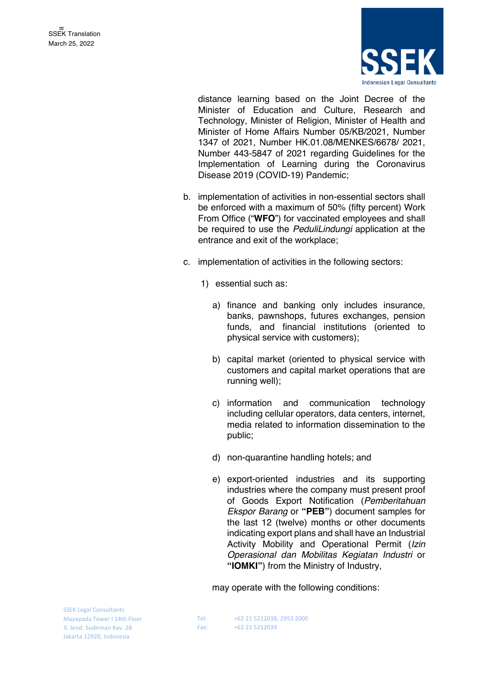

distance learning based on the Joint Decree of the Minister of Education and Culture, Research and Technology, Minister of Religion, Minister of Health and Minister of Home Affairs Number 05/KB/2021, Number 1347 of 2021, Number HK.01.08/MENKES/6678/ 2021, Number 443-5847 of 2021 regarding Guidelines for the Implementation of Learning during the Coronavirus Disease 2019 (COVID-19) Pandemic;

- b. implementation of activities in non-essential sectors shall be enforced with a maximum of 50% (fifty percent) Work From Office ("**WFO**") for vaccinated employees and shall be required to use the *PeduliLindungi* application at the entrance and exit of the workplace;
- c. implementation of activities in the following sectors:
	- 1) essential such as:
		- a) finance and banking only includes insurance, banks, pawnshops, futures exchanges, pension funds, and financial institutions (oriented to physical service with customers);
		- b) capital market (oriented to physical service with customers and capital market operations that are running well);
		- c) information and communication technology including cellular operators, data centers, internet, media related to information dissemination to the public;
		- d) non-quarantine handling hotels; and
		- e) export-oriented industries and its supporting industries where the company must present proof of Goods Export Notification (*Pemberitahuan Ekspor Barang* or **"PEB"**) document samples for the last 12 (twelve) months or other documents indicating export plans and shall have an Industrial Activity Mobility and Operational Permit (*Izin Operasional dan Mobilitas Kegiatan Industri* or **"IOMKI"**) from the Ministry of Industry,

may operate with the following conditions:

SSEK Legal Consultants Mayapada Tower I 14th Floor Jl. Jend. Sudirman Kav. 28 Jakarta 12920, Indonesia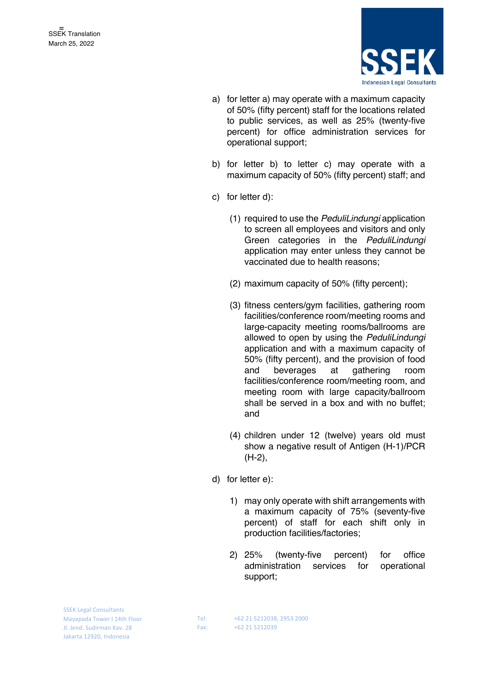

- a) for letter a) may operate with a maximum capacity of 50% (fifty percent) staff for the locations related to public services, as well as 25% (twenty-five percent) for office administration services for operational support;
- b) for letter b) to letter c) may operate with a maximum capacity of 50% (fifty percent) staff; and
- c) for letter d):
	- (1) required to use the *PeduliLindungi* application to screen all employees and visitors and only Green categories in the *PeduliLindungi*  application may enter unless they cannot be vaccinated due to health reasons;
	- (2) maximum capacity of 50% (fifty percent);
	- (3) fitness centers/gym facilities, gathering room facilities/conference room/meeting rooms and large-capacity meeting rooms/ballrooms are allowed to open by using the *PeduliLindungi* application and with a maximum capacity of 50% (fifty percent), and the provision of food and beverages at gathering room facilities/conference room/meeting room, and meeting room with large capacity/ballroom shall be served in a box and with no buffet; and
	- (4) children under 12 (twelve) years old must show a negative result of Antigen (H-1)/PCR (H-2),
- d) for letter e):
	- 1) may only operate with shift arrangements with a maximum capacity of 75% (seventy-five percent) of staff for each shift only in production facilities/factories;
	- 2) 25% (twenty-five percent) for office administration services for operational support;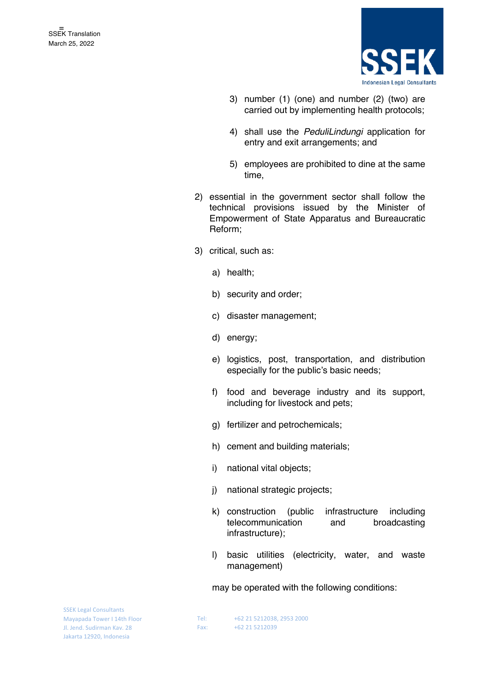

- 3) number (1) (one) and number (2) (two) are carried out by implementing health protocols;
- 4) shall use the *PeduliLindungi* application for entry and exit arrangements; and
- 5) employees are prohibited to dine at the same time,
- 2) essential in the government sector shall follow the technical provisions issued by the Minister of Empowerment of State Apparatus and Bureaucratic Reform;
- 3) critical, such as:
	- a) health;
	- b) security and order;
	- c) disaster management;
	- d) energy;
	- e) logistics, post, transportation, and distribution especially for the public's basic needs;
	- f) food and beverage industry and its support, including for livestock and pets;
	- g) fertilizer and petrochemicals;
	- h) cement and building materials;
	- i) national vital objects;
	- j) national strategic projects;
	- k) construction (public infrastructure including telecommunication and broadcasting infrastructure);
	- l) basic utilities (electricity, water, and waste management)

may be operated with the following conditions:

SSEK Legal Consultants Mayapada Tower I 14th Floor Jl. Jend. Sudirman Kav. 28 Jakarta 12920, Indonesia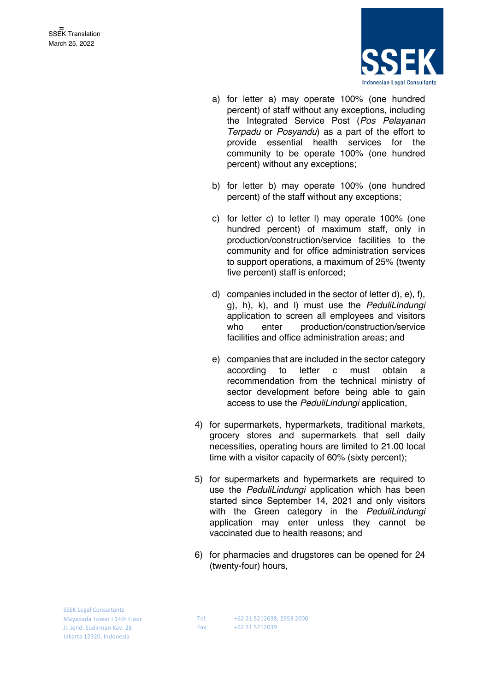

- a) for letter a) may operate 100% (one hundred percent) of staff without any exceptions, including the Integrated Service Post (*Pos Pelayanan Terpadu* or *Posyandu*) as a part of the effort to provide essential health services for the community to be operate 100% (one hundred percent) without any exceptions;
- b) for letter b) may operate 100% (one hundred percent) of the staff without any exceptions;
- c) for letter c) to letter l) may operate 100% (one hundred percent) of maximum staff, only in production/construction/service facilities to the community and for office administration services to support operations, a maximum of 25% (twenty five percent) staff is enforced;
- d) companies included in the sector of letter d), e), f), g), h), k), and l) must use the *PeduliLindungi* application to screen all employees and visitors who enter production/construction/service facilities and office administration areas; and
- e) companies that are included in the sector category according to letter c must obtain a recommendation from the technical ministry of sector development before being able to gain access to use the *PeduliLindungi* application,
- 4) for supermarkets, hypermarkets, traditional markets, grocery stores and supermarkets that sell daily necessities, operating hours are limited to 21.00 local time with a visitor capacity of 60% (sixty percent);
- 5) for supermarkets and hypermarkets are required to use the *PeduliLindungi* application which has been started since September 14, 2021 and only visitors with the Green category in the *PeduliLindungi*  application may enter unless they cannot be vaccinated due to health reasons; and
- 6) for pharmacies and drugstores can be opened for 24 (twenty-four) hours,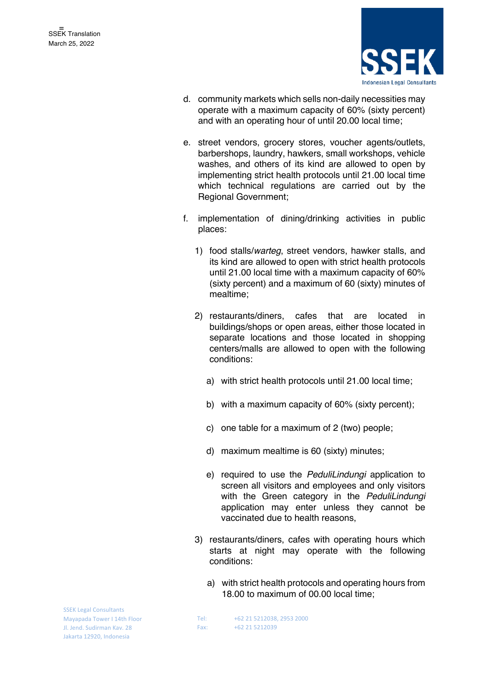

- d. community markets which sells non-daily necessities may operate with a maximum capacity of 60% (sixty percent) and with an operating hour of until 20.00 local time;
- e. street vendors, grocery stores, voucher agents/outlets, barbershops, laundry, hawkers, small workshops, vehicle washes, and others of its kind are allowed to open by implementing strict health protocols until 21.00 local time which technical regulations are carried out by the Regional Government;
- f. implementation of dining/drinking activities in public places:
	- 1) food stalls/*warteg*, street vendors, hawker stalls, and its kind are allowed to open with strict health protocols until 21.00 local time with a maximum capacity of 60% (sixty percent) and a maximum of 60 (sixty) minutes of mealtime;
	- 2) restaurants/diners, cafes that are located in buildings/shops or open areas, either those located in separate locations and those located in shopping centers/malls are allowed to open with the following conditions:
		- a) with strict health protocols until 21.00 local time;
		- b) with a maximum capacity of 60% (sixty percent);
		- c) one table for a maximum of 2 (two) people;
		- d) maximum mealtime is 60 (sixty) minutes;
		- e) required to use the *PeduliLindungi* application to screen all visitors and employees and only visitors with the Green category in the *PeduliLindungi*  application may enter unless they cannot be vaccinated due to health reasons,
	- 3) restaurants/diners, cafes with operating hours which starts at night may operate with the following conditions:
		- a) with strict health protocols and operating hours from 18.00 to maximum of 00.00 local time;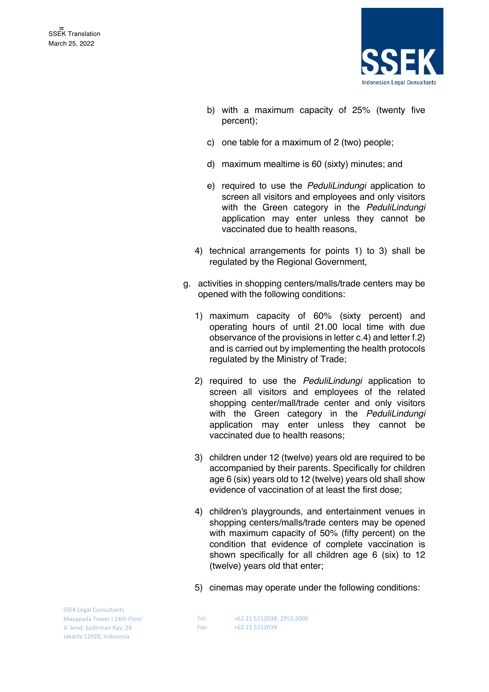

- b) with a maximum capacity of 25% (twenty five percent);
- c) one table for a maximum of 2 (two) people;
- d) maximum mealtime is 60 (sixty) minutes; and
- e) required to use the *PeduliLindungi* application to screen all visitors and employees and only visitors with the Green category in the *PeduliLindungi*  application may enter unless they cannot be vaccinated due to health reasons,
- 4) technical arrangements for points 1) to 3) shall be regulated by the Regional Government,
- g. activities in shopping centers/malls/trade centers may be opened with the following conditions:
	- 1) maximum capacity of 60% (sixty percent) and operating hours of until 21.00 local time with due observance of the provisions in letter c.4) and letter f.2) and is carried out by implementing the health protocols regulated by the Ministry of Trade;
	- 2) required to use the *PeduliLindungi* application to screen all visitors and employees of the related shopping center/mall/trade center and only visitors with the Green category in the *PeduliLindungi*  application may enter unless they cannot be vaccinated due to health reasons;
	- 3) children under 12 (twelve) years old are required to be accompanied by their parents. Specifically for children age 6 (six) years old to 12 (twelve) years old shall show evidence of vaccination of at least the first dose;
	- 4) children's playgrounds, and entertainment venues in shopping centers/malls/trade centers may be opened with maximum capacity of 50% (fifty percent) on the condition that evidence of complete vaccination is shown specifically for all children age 6 (six) to 12 (twelve) years old that enter;
	- 5) cinemas may operate under the following conditions: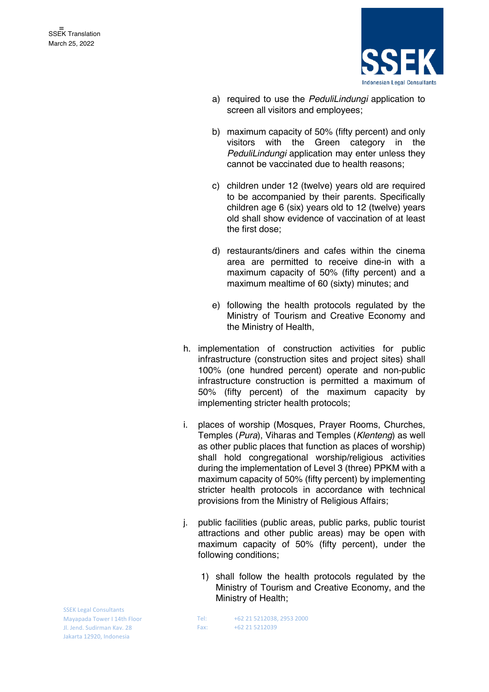

- a) required to use the *PeduliLindungi* application to screen all visitors and employees;
- b) maximum capacity of 50% (fifty percent) and only visitors with the Green category in the *PeduliLindungi* application may enter unless they cannot be vaccinated due to health reasons;
- c) children under 12 (twelve) years old are required to be accompanied by their parents. Specifically children age 6 (six) years old to 12 (twelve) years old shall show evidence of vaccination of at least the first dose;
- d) restaurants/diners and cafes within the cinema area are permitted to receive dine-in with a maximum capacity of 50% (fifty percent) and a maximum mealtime of 60 (sixty) minutes; and
- e) following the health protocols regulated by the Ministry of Tourism and Creative Economy and the Ministry of Health,
- h. implementation of construction activities for public infrastructure (construction sites and project sites) shall 100% (one hundred percent) operate and non-public infrastructure construction is permitted a maximum of 50% (fifty percent) of the maximum capacity by implementing stricter health protocols;
- i. places of worship (Mosques, Prayer Rooms, Churches, Temples (*Pura*), Viharas and Temples (*Klenteng*) as well as other public places that function as places of worship) shall hold congregational worship/religious activities during the implementation of Level 3 (three) PPKM with a maximum capacity of 50% (fifty percent) by implementing stricter health protocols in accordance with technical provisions from the Ministry of Religious Affairs;
- j. public facilities (public areas, public parks, public tourist attractions and other public areas) may be open with maximum capacity of 50% (fifty percent), under the following conditions;
	- 1) shall follow the health protocols regulated by the Ministry of Tourism and Creative Economy, and the Ministry of Health;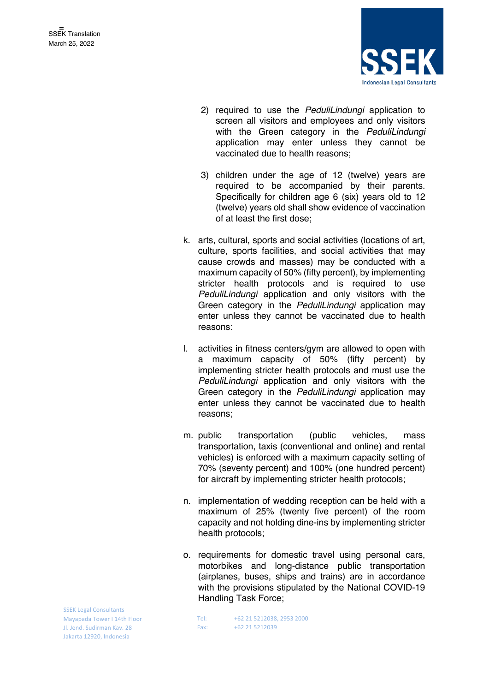

- 2) required to use the *PeduliLindungi* application to screen all visitors and employees and only visitors with the Green category in the *PeduliLindungi*  application may enter unless they cannot be vaccinated due to health reasons;
- 3) children under the age of 12 (twelve) years are required to be accompanied by their parents. Specifically for children age 6 (six) years old to 12 (twelve) years old shall show evidence of vaccination of at least the first dose;
- k. arts, cultural, sports and social activities (locations of art, culture, sports facilities, and social activities that may cause crowds and masses) may be conducted with a maximum capacity of 50% (fifty percent), by implementing stricter health protocols and is required to use *PeduliLindungi* application and only visitors with the Green category in the *PeduliLindungi* application may enter unless they cannot be vaccinated due to health reasons:
- l. activities in fitness centers/gym are allowed to open with a maximum capacity of 50% (fifty percent) by implementing stricter health protocols and must use the *PeduliLindungi* application and only visitors with the Green category in the *PeduliLindungi* application may enter unless they cannot be vaccinated due to health reasons;
- m. public transportation (public vehicles, mass transportation, taxis (conventional and online) and rental vehicles) is enforced with a maximum capacity setting of 70% (seventy percent) and 100% (one hundred percent) for aircraft by implementing stricter health protocols;
- n. implementation of wedding reception can be held with a maximum of 25% (twenty five percent) of the room capacity and not holding dine-ins by implementing stricter health protocols;
- o. requirements for domestic travel using personal cars, motorbikes and long-distance public transportation (airplanes, buses, ships and trains) are in accordance with the provisions stipulated by the National COVID-19 Handling Task Force;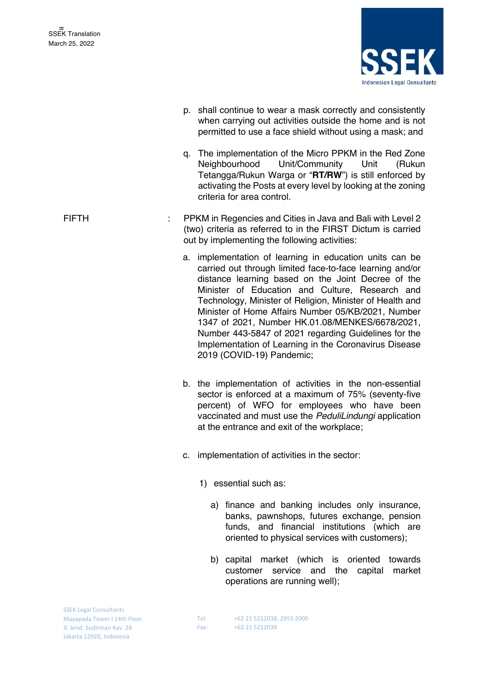

p. shall continue to wear a mask correctly and consistently when carrying out activities outside the home and is not permitted to use a face shield without using a mask; and q. The implementation of the Micro PPKM in the Red Zone Neighbourhood Unit/Community Unit (Rukun Tetangga/Rukun Warga or "**RT/RW**") is still enforced by activating the Posts at every level by looking at the zoning criteria for area control. FIFTH : PPKM in Regencies and Cities in Java and Bali with Level 2 (two) criteria as referred to in the FIRST Dictum is carried out by implementing the following activities: a. implementation of learning in education units can be carried out through limited face-to-face learning and/or distance learning based on the Joint Decree of the Minister of Education and Culture, Research and Technology, Minister of Religion, Minister of Health and Minister of Home Affairs Number 05/KB/2021, Number 1347 of 2021, Number HK.01.08/MENKES/6678/2021, Number 443-5847 of 2021 regarding Guidelines for the Implementation of Learning in the Coronavirus Disease 2019 (COVID-19) Pandemic; b. the implementation of activities in the non-essential sector is enforced at a maximum of 75% (seventy-five percent) of WFO for employees who have been vaccinated and must use the *PeduliLindungi* application at the entrance and exit of the workplace; c. implementation of activities in the sector: 1) essential such as: a) finance and banking includes only insurance, banks, pawnshops, futures exchange, pension funds, and financial institutions (which are oriented to physical services with customers); b) capital market (which is oriented towards customer service and the capital market operations are running well);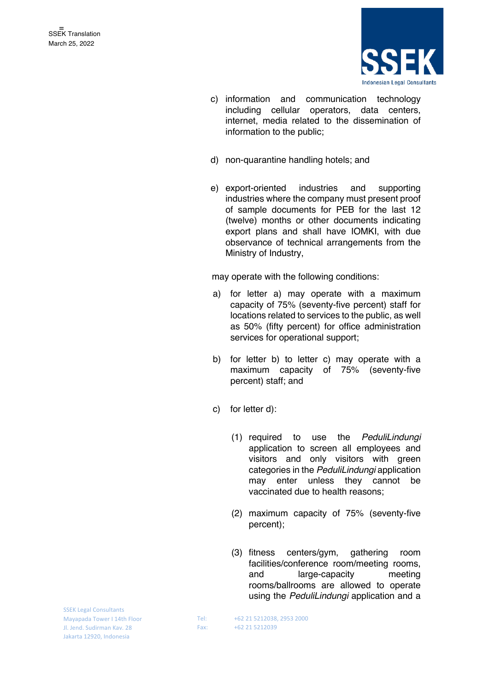

- c) information and communication technology including cellular operators, data centers, internet, media related to the dissemination of information to the public;
- d) non-quarantine handling hotels; and
- e) export-oriented industries and supporting industries where the company must present proof of sample documents for PEB for the last 12 (twelve) months or other documents indicating export plans and shall have IOMKI, with due observance of technical arrangements from the Ministry of Industry,

may operate with the following conditions:

- a) for letter a) may operate with a maximum capacity of 75% (seventy-five percent) staff for locations related to services to the public, as well as 50% (fifty percent) for office administration services for operational support;
- b) for letter b) to letter c) may operate with a maximum capacity of 75% (seventy-five percent) staff; and
- c) for letter d):
	- (1) required to use the *PeduliLindungi* application to screen all employees and visitors and only visitors with green categories in the *PeduliLindungi* application may enter unless they cannot be vaccinated due to health reasons;
	- (2) maximum capacity of 75% (seventy-five percent);
	- (3) fitness centers/gym, gathering room facilities/conference room/meeting rooms, and large-capacity meeting rooms/ballrooms are allowed to operate using the *PeduliLindungi* application and a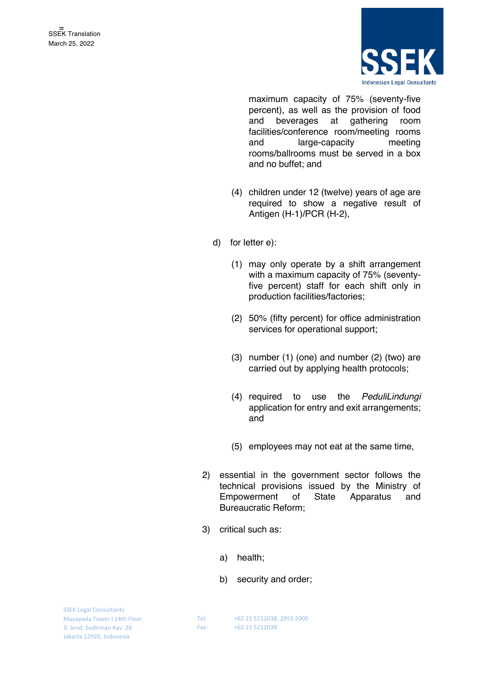

maximum capacity of 75% (seventy-five percent), as well as the provision of food and beverages at gathering room facilities/conference room/meeting rooms and large-capacity meeting rooms/ballrooms must be served in a box and no buffet; and

- (4) children under 12 (twelve) years of age are required to show a negative result of Antigen (H-1)/PCR (H-2),
- d) for letter e):
	- (1) may only operate by a shift arrangement with a maximum capacity of 75% (seventyfive percent) staff for each shift only in production facilities/factories;
	- (2) 50% (fifty percent) for office administration services for operational support;
	- (3) number (1) (one) and number (2) (two) are carried out by applying health protocols;
	- (4) required to use the *PeduliLindungi* application for entry and exit arrangements; and
	- (5) employees may not eat at the same time,
- 2) essential in the government sector follows the technical provisions issued by the Ministry of Empowerment of State Apparatus and Bureaucratic Reform;
- 3) critical such as:
	- a) health;
	- b) security and order;

SSEK Legal Consultants Mayapada Tower I 14th Floor Jl. Jend. Sudirman Kav. 28 Jakarta 12920, Indonesia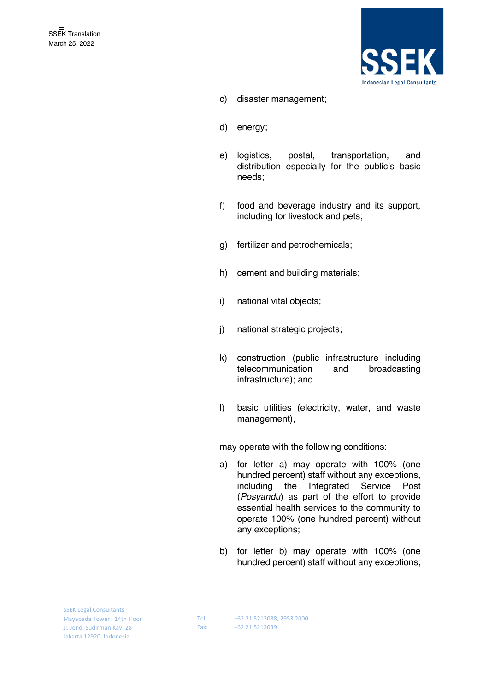

- c) disaster management;
- d) energy;
- e) logistics, postal, transportation, and distribution especially for the public's basic needs;
- f) food and beverage industry and its support, including for livestock and pets;
- g) fertilizer and petrochemicals;
- h) cement and building materials;
- i) national vital objects;
- j) national strategic projects;
- k) construction (public infrastructure including telecommunication and broadcasting infrastructure); and
- l) basic utilities (electricity, water, and waste management),

may operate with the following conditions:

- a) for letter a) may operate with 100% (one hundred percent) staff without any exceptions, including the Integrated Service Post (*Posyandu*) as part of the effort to provide essential health services to the community to operate 100% (one hundred percent) without any exceptions;
- b) for letter b) may operate with 100% (one hundred percent) staff without any exceptions;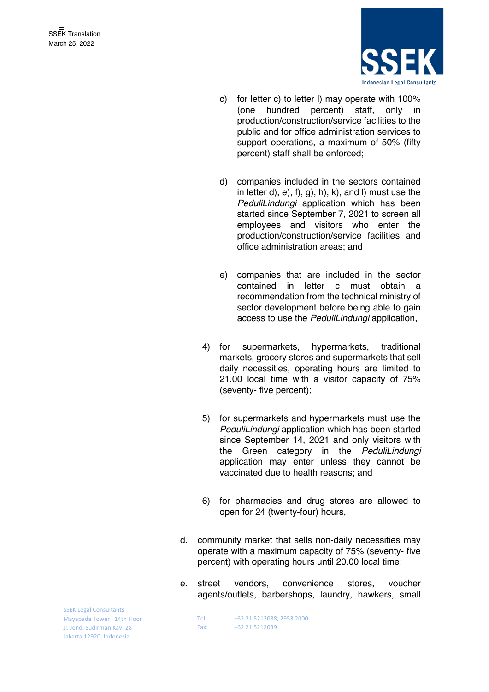

- c) for letter c) to letter l) may operate with 100% (one hundred percent) staff, only in production/construction/service facilities to the public and for office administration services to support operations, a maximum of 50% (fifty percent) staff shall be enforced;
- d) companies included in the sectors contained in letter d),  $e$ ,  $f$ ,  $g$ ,  $h$ ,  $k$ ,  $and$   $l$ ) must use the *PeduliLindungi* application which has been started since September 7, 2021 to screen all employees and visitors who enter the production/construction/service facilities and office administration areas; and
- e) companies that are included in the sector contained in letter c must obtain a recommendation from the technical ministry of sector development before being able to gain access to use the *PeduliLindungi* application,
- 4) for supermarkets, hypermarkets, traditional markets, grocery stores and supermarkets that sell daily necessities, operating hours are limited to 21.00 local time with a visitor capacity of 75% (seventy- five percent);
- 5) for supermarkets and hypermarkets must use the *PeduliLindungi* application which has been started since September 14, 2021 and only visitors with the Green category in the *PeduliLindungi*  application may enter unless they cannot be vaccinated due to health reasons; and
- 6) for pharmacies and drug stores are allowed to open for 24 (twenty-four) hours,
- d. community market that sells non-daily necessities may operate with a maximum capacity of 75% (seventy- five percent) with operating hours until 20.00 local time;
- e. street vendors, convenience stores, voucher agents/outlets, barbershops, laundry, hawkers, small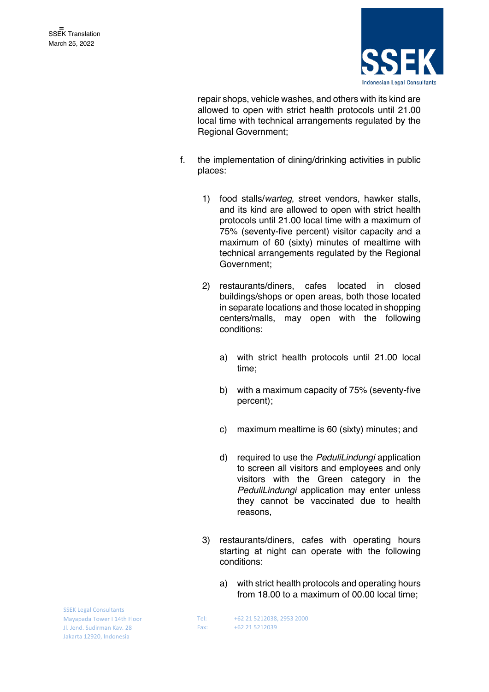

repair shops, vehicle washes, and others with its kind are allowed to open with strict health protocols until 21.00 local time with technical arrangements regulated by the Regional Government;

- f. the implementation of dining/drinking activities in public places:
	- 1) food stalls/*warteg*, street vendors, hawker stalls, and its kind are allowed to open with strict health protocols until 21.00 local time with a maximum of 75% (seventy-five percent) visitor capacity and a maximum of 60 (sixty) minutes of mealtime with technical arrangements regulated by the Regional Government;
	- 2) restaurants/diners, cafes located in closed buildings/shops or open areas, both those located in separate locations and those located in shopping centers/malls, may open with the following conditions:
		- a) with strict health protocols until 21.00 local time;
		- b) with a maximum capacity of 75% (seventy-five percent);
		- c) maximum mealtime is 60 (sixty) minutes; and
		- d) required to use the *PeduliLindungi* application to screen all visitors and employees and only visitors with the Green category in the *PeduliLindungi* application may enter unless they cannot be vaccinated due to health reasons,
	- 3) restaurants/diners, cafes with operating hours starting at night can operate with the following conditions:
		- a) with strict health protocols and operating hours from 18.00 to a maximum of 00.00 local time;

SSEK Legal Consultants Mayapada Tower I 14th Floor Jl. Jend. Sudirman Kav. 28 Jakarta 12920, Indonesia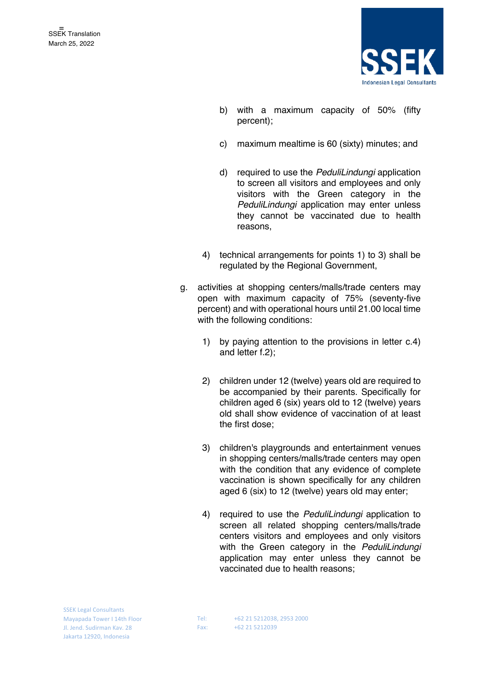

- b) with a maximum capacity of 50% (fifty percent);
- c) maximum mealtime is 60 (sixty) minutes; and
- d) required to use the *PeduliLindungi* application to screen all visitors and employees and only visitors with the Green category in the *PeduliLindungi* application may enter unless they cannot be vaccinated due to health reasons,
- 4) technical arrangements for points 1) to 3) shall be regulated by the Regional Government,
- g. activities at shopping centers/malls/trade centers may open with maximum capacity of 75% (seventy-five percent) and with operational hours until 21.00 local time with the following conditions:
	- 1) by paying attention to the provisions in letter c.4) and letter f.2);
	- 2) children under 12 (twelve) years old are required to be accompanied by their parents. Specifically for children aged 6 (six) years old to 12 (twelve) years old shall show evidence of vaccination of at least the first dose;
	- 3) children's playgrounds and entertainment venues in shopping centers/malls/trade centers may open with the condition that any evidence of complete vaccination is shown specifically for any children aged 6 (six) to 12 (twelve) years old may enter;
	- 4) required to use the *PeduliLindungi* application to screen all related shopping centers/malls/trade centers visitors and employees and only visitors with the Green category in the *PeduliLindungi*  application may enter unless they cannot be vaccinated due to health reasons;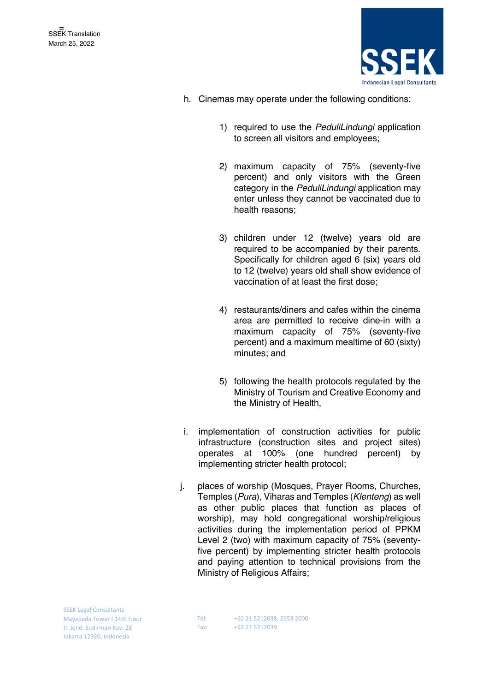

- h. Cinemas may operate under the following conditions:
	- 1) required to use the *PeduliLindungi* application to screen all visitors and employees;
	- 2) maximum capacity of 75% (seventy-five percent) and only visitors with the Green category in the *PeduliLindungi* application may enter unless they cannot be vaccinated due to health reasons;
	- 3) children under 12 (twelve) years old are required to be accompanied by their parents. Specifically for children aged 6 (six) years old to 12 (twelve) years old shall show evidence of vaccination of at least the first dose;
	- 4) restaurants/diners and cafes within the cinema area are permitted to receive dine-in with a maximum capacity of 75% (seventy-five percent) and a maximum mealtime of 60 (sixty) minutes; and
	- 5) following the health protocols regulated by the Ministry of Tourism and Creative Economy and the Ministry of Health,
- i. implementation of construction activities for public infrastructure (construction sites and project sites) operates at 100% (one hundred percent) by implementing stricter health protocol;
- j. places of worship (Mosques, Prayer Rooms, Churches, Temples (*Pura*), Viharas and Temples (*Klenteng*) as well as other public places that function as places of worship), may hold congregational worship/religious activities during the implementation period of PPKM Level 2 (two) with maximum capacity of 75% (seventyfive percent) by implementing stricter health protocols and paying attention to technical provisions from the Ministry of Religious Affairs;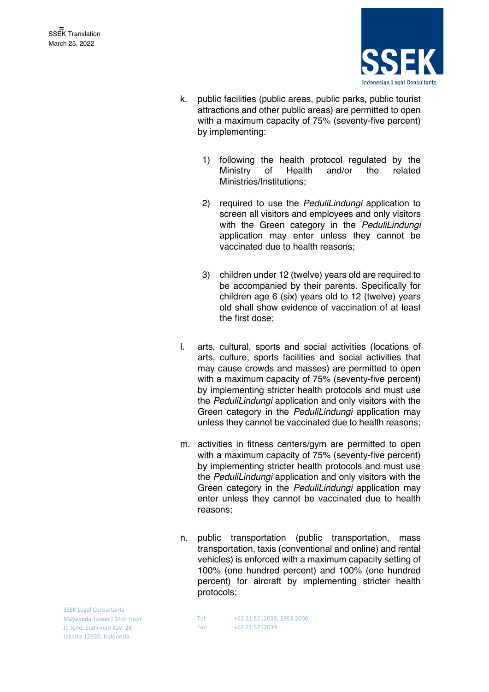

- k. public facilities (public areas, public parks, public tourist attractions and other public areas) are permitted to open with a maximum capacity of 75% (seventy-five percent) by implementing:
	- 1) following the health protocol regulated by the Ministry of Health and/or the related Ministries/Institutions;
	- 2) required to use the *PeduliLindungi* application to screen all visitors and employees and only visitors with the Green category in the *PeduliLindungi*  application may enter unless they cannot be vaccinated due to health reasons;
	- 3) children under 12 (twelve) years old are required to be accompanied by their parents. Specifically for children age 6 (six) years old to 12 (twelve) years old shall show evidence of vaccination of at least the first dose;
- l. arts, cultural, sports and social activities (locations of arts, culture, sports facilities and social activities that may cause crowds and masses) are permitted to open with a maximum capacity of 75% (seventy-five percent) by implementing stricter health protocols and must use the *PeduliLindungi* application and only visitors with the Green category in the *PeduliLindungi* application may unless they cannot be vaccinated due to health reasons;
- m. activities in fitness centers/gym are permitted to open with a maximum capacity of 75% (seventy-five percent) by implementing stricter health protocols and must use the *PeduliLindungi* application and only visitors with the Green category in the *PeduliLindungi* application may enter unless they cannot be vaccinated due to health reasons;
- n. public transportation (public transportation, mass transportation, taxis (conventional and online) and rental vehicles) is enforced with a maximum capacity setting of 100% (one hundred percent) and 100% (one hundred percent) for aircraft by implementing stricter health protocols;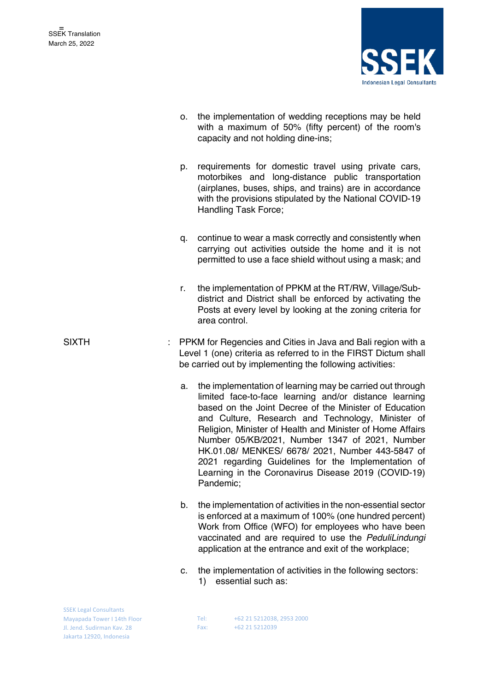

- o. the implementation of wedding receptions may be held with a maximum of 50% (fifty percent) of the room's capacity and not holding dine-ins;
- p. requirements for domestic travel using private cars, motorbikes and long-distance public transportation (airplanes, buses, ships, and trains) are in accordance with the provisions stipulated by the National COVID-19 Handling Task Force;
- q. continue to wear a mask correctly and consistently when carrying out activities outside the home and it is not permitted to use a face shield without using a mask; and
- r. the implementation of PPKM at the RT/RW, Village/Subdistrict and District shall be enforced by activating the Posts at every level by looking at the zoning criteria for area control.
- SIXTH : PPKM for Regencies and Cities in Java and Bali region with a Level 1 (one) criteria as referred to in the FIRST Dictum shall be carried out by implementing the following activities:
	- a. the implementation of learning may be carried out through limited face-to-face learning and/or distance learning based on the Joint Decree of the Minister of Education and Culture, Research and Technology, Minister of Religion, Minister of Health and Minister of Home Affairs Number 05/KB/2021, Number 1347 of 2021, Number HK.01.08/ MENKES/ 6678/ 2021, Number 443-5847 of 2021 regarding Guidelines for the Implementation of Learning in the Coronavirus Disease 2019 (COVID-19) Pandemic;
	- b. the implementation of activities in the non-essential sector is enforced at a maximum of 100% (one hundred percent) Work from Office (WFO) for employees who have been vaccinated and are required to use the *PeduliLindungi* application at the entrance and exit of the workplace;
	- c. the implementation of activities in the following sectors:
		- 1) essential such as:

| <b>SSEK Legal Consultants</b> |
|-------------------------------|
| Mayapada Tower I 14th Floor   |
| Jl. Jend. Sudirman Kay. 28    |
| Jakarta 12920, Indonesia      |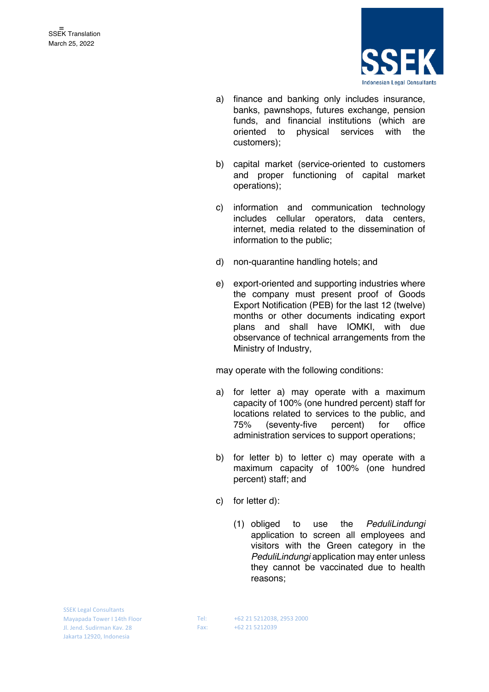

- a) finance and banking only includes insurance, banks, pawnshops, futures exchange, pension funds, and financial institutions (which are oriented to physical services with the customers);
- b) capital market (service-oriented to customers and proper functioning of capital market operations);
- c) information and communication technology includes cellular operators, data centers, internet, media related to the dissemination of information to the public;
- d) non-quarantine handling hotels; and
- e) export-oriented and supporting industries where the company must present proof of Goods Export Notification (PEB) for the last 12 (twelve) months or other documents indicating export plans and shall have IOMKI, with due observance of technical arrangements from the Ministry of Industry,

may operate with the following conditions:

- a) for letter a) may operate with a maximum capacity of 100% (one hundred percent) staff for locations related to services to the public, and 75% (seventy-five percent) for office administration services to support operations;
- b) for letter b) to letter c) may operate with a maximum capacity of 100% (one hundred percent) staff; and
- c) for letter d):
	- (1) obliged to use the *PeduliLindungi* application to screen all employees and visitors with the Green category in the *PeduliLindungi* application may enter unless they cannot be vaccinated due to health reasons;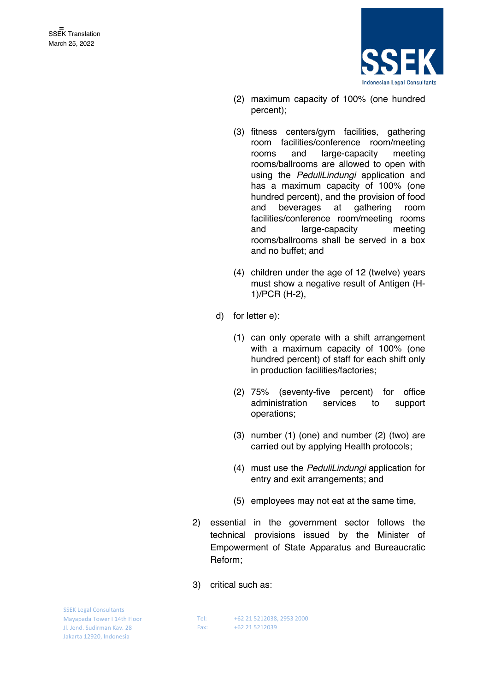

- (2) maximum capacity of 100% (one hundred percent);
- (3) fitness centers/gym facilities, gathering room facilities/conference room/meeting rooms and large-capacity meeting rooms/ballrooms are allowed to open with using the *PeduliLindungi* application and has a maximum capacity of 100% (one hundred percent), and the provision of food and beverages at gathering room facilities/conference room/meeting rooms and large-capacity meeting rooms/ballrooms shall be served in a box and no buffet; and
- (4) children under the age of 12 (twelve) years must show a negative result of Antigen (H-1)/PCR (H-2),
- d) for letter e):
	- (1) can only operate with a shift arrangement with a maximum capacity of 100% (one hundred percent) of staff for each shift only in production facilities/factories;
	- (2) 75% (seventy-five percent) for office administration services to support operations;
	- (3) number (1) (one) and number (2) (two) are carried out by applying Health protocols;
	- (4) must use the *PeduliLindungi* application for entry and exit arrangements; and
	- (5) employees may not eat at the same time,
- 2) essential in the government sector follows the technical provisions issued by the Minister of Empowerment of State Apparatus and Bureaucratic Reform;
- 3) critical such as: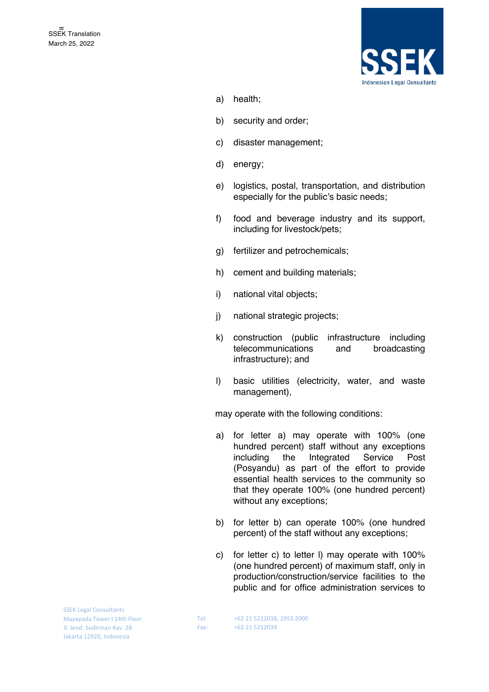

- a) health;
- b) security and order;
- c) disaster management;
- d) energy;
- e) logistics, postal, transportation, and distribution especially for the public's basic needs;
- f) food and beverage industry and its support, including for livestock/pets;
- g) fertilizer and petrochemicals;
- h) cement and building materials;
- i) national vital objects;
- j) national strategic projects;
- k) construction (public infrastructure including telecommunications and broadcasting infrastructure); and
- l) basic utilities (electricity, water, and waste management),

may operate with the following conditions:

- a) for letter a) may operate with 100% (one hundred percent) staff without any exceptions including the Integrated Service Post (Posyandu) as part of the effort to provide essential health services to the community so that they operate 100% (one hundred percent) without any exceptions;
- b) for letter b) can operate 100% (one hundred percent) of the staff without any exceptions;
- c) for letter c) to letter l) may operate with 100% (one hundred percent) of maximum staff, only in production/construction/service facilities to the public and for office administration services to

SSEK Legal Consultants Mayapada Tower I 14th Floor Jl. Jend. Sudirman Kav. 28 Jakarta 12920, Indonesia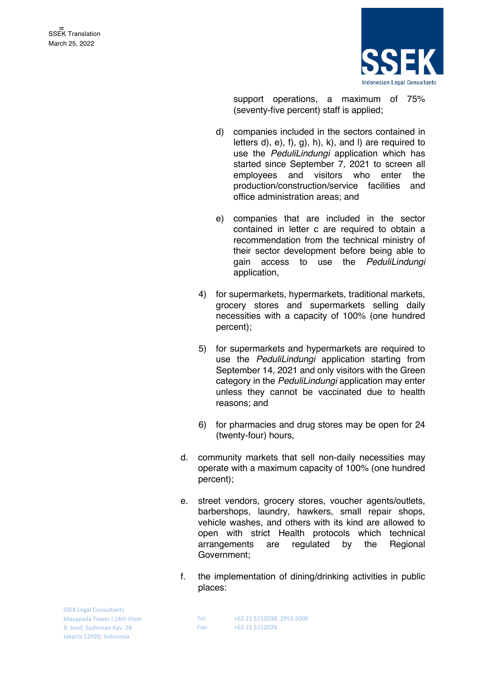

support operations, a maximum of 75% (seventy-five percent) staff is applied;

- d) companies included in the sectors contained in letters d), e), f), g), h), k), and l) are required to use the *PeduliLindungi* application which has started since September 7, 2021 to screen all employees and visitors who enter the production/construction/service facilities and office administration areas; and
- e) companies that are included in the sector contained in letter c are required to obtain a recommendation from the technical ministry of their sector development before being able to gain access to use the *PeduliLindungi* application,
- 4) for supermarkets, hypermarkets, traditional markets, grocery stores and supermarkets selling daily necessities with a capacity of 100% (one hundred percent);
- 5) for supermarkets and hypermarkets are required to use the *PeduliLindungi* application starting from September 14, 2021 and only visitors with the Green category in the *PeduliLindungi* application may enter unless they cannot be vaccinated due to health reasons; and
- 6) for pharmacies and drug stores may be open for 24 (twenty-four) hours,
- d. community markets that sell non-daily necessities may operate with a maximum capacity of 100% (one hundred percent);
- e. street vendors, grocery stores, voucher agents/outlets, barbershops, laundry, hawkers, small repair shops, vehicle washes, and others with its kind are allowed to open with strict Health protocols which technical arrangements are regulated by the Regional Government;
- f. the implementation of dining/drinking activities in public places:

SSEK Legal Consultants Mayapada Tower I 14th Floor Jl. Jend. Sudirman Kav. 28 Jakarta 12920, Indonesia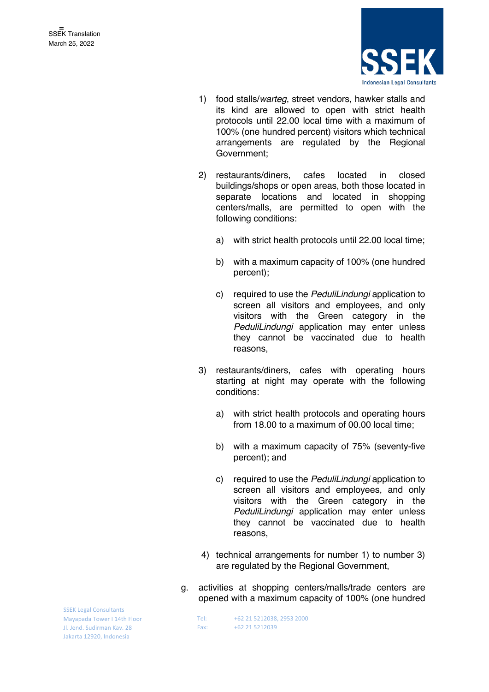

- 1) food stalls/*warteg*, street vendors, hawker stalls and its kind are allowed to open with strict health protocols until 22.00 local time with a maximum of 100% (one hundred percent) visitors which technical arrangements are regulated by the Regional Government;
- 2) restaurants/diners, cafes located in closed buildings/shops or open areas, both those located in separate locations and located in shopping centers/malls, are permitted to open with the following conditions:
	- a) with strict health protocols until 22.00 local time;
	- b) with a maximum capacity of 100% (one hundred percent);
	- c) required to use the *PeduliLindungi* application to screen all visitors and employees, and only visitors with the Green category in the *PeduliLindungi* application may enter unless they cannot be vaccinated due to health reasons,
- 3) restaurants/diners, cafes with operating hours starting at night may operate with the following conditions:
	- a) with strict health protocols and operating hours from 18.00 to a maximum of 00.00 local time;
	- b) with a maximum capacity of 75% (seventy-five percent); and
	- c) required to use the *PeduliLindungi* application to screen all visitors and employees, and only visitors with the Green category in the *PeduliLindungi* application may enter unless they cannot be vaccinated due to health reasons,
- 4) technical arrangements for number 1) to number 3) are regulated by the Regional Government,
- g. activities at shopping centers/malls/trade centers are opened with a maximum capacity of 100% (one hundred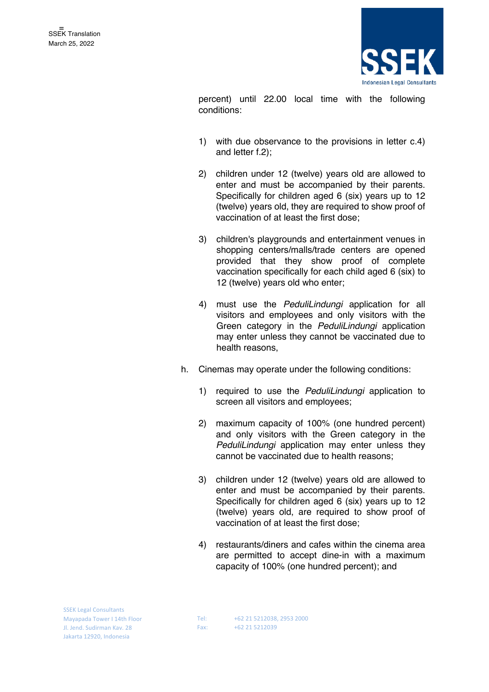

percent) until 22.00 local time with the following conditions:

- 1) with due observance to the provisions in letter c.4) and letter f.2);
- 2) children under 12 (twelve) years old are allowed to enter and must be accompanied by their parents. Specifically for children aged 6 (six) years up to 12 (twelve) years old, they are required to show proof of vaccination of at least the first dose;
- 3) children's playgrounds and entertainment venues in shopping centers/malls/trade centers are opened provided that they show proof of complete vaccination specifically for each child aged 6 (six) to 12 (twelve) years old who enter;
- 4) must use the *PeduliLindungi* application for all visitors and employees and only visitors with the Green category in the *PeduliLindungi* application may enter unless they cannot be vaccinated due to health reasons,
- h. Cinemas may operate under the following conditions:
	- 1) required to use the *PeduliLindungi* application to screen all visitors and employees;
	- 2) maximum capacity of 100% (one hundred percent) and only visitors with the Green category in the *PeduliLindungi* application may enter unless they cannot be vaccinated due to health reasons;
	- 3) children under 12 (twelve) years old are allowed to enter and must be accompanied by their parents. Specifically for children aged 6 (six) years up to 12 (twelve) years old, are required to show proof of vaccination of at least the first dose;
	- 4) restaurants/diners and cafes within the cinema area are permitted to accept dine-in with a maximum capacity of 100% (one hundred percent); and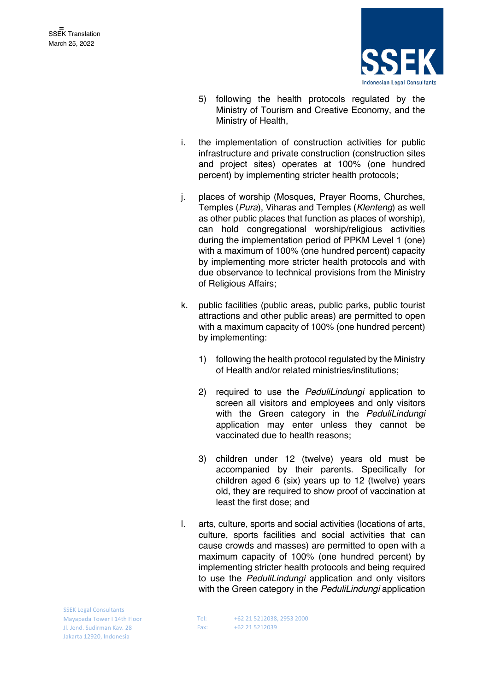

- 5) following the health protocols regulated by the Ministry of Tourism and Creative Economy, and the Ministry of Health,
- i. the implementation of construction activities for public infrastructure and private construction (construction sites and project sites) operates at 100% (one hundred percent) by implementing stricter health protocols;
- j. places of worship (Mosques, Prayer Rooms, Churches, Temples (*Pura*), Viharas and Temples (*Klenteng*) as well as other public places that function as places of worship), can hold congregational worship/religious activities during the implementation period of PPKM Level 1 (one) with a maximum of 100% (one hundred percent) capacity by implementing more stricter health protocols and with due observance to technical provisions from the Ministry of Religious Affairs;
- k. public facilities (public areas, public parks, public tourist attractions and other public areas) are permitted to open with a maximum capacity of 100% (one hundred percent) by implementing:
	- 1) following the health protocol regulated by the Ministry of Health and/or related ministries/institutions;
	- 2) required to use the *PeduliLindungi* application to screen all visitors and employees and only visitors with the Green category in the *PeduliLindungi* application may enter unless they cannot be vaccinated due to health reasons;
	- 3) children under 12 (twelve) years old must be accompanied by their parents. Specifically for children aged 6 (six) years up to 12 (twelve) years old, they are required to show proof of vaccination at least the first dose; and
- l. arts, culture, sports and social activities (locations of arts, culture, sports facilities and social activities that can cause crowds and masses) are permitted to open with a maximum capacity of 100% (one hundred percent) by implementing stricter health protocols and being required to use the *PeduliLindungi* application and only visitors with the Green category in the *PeduliLindungi* application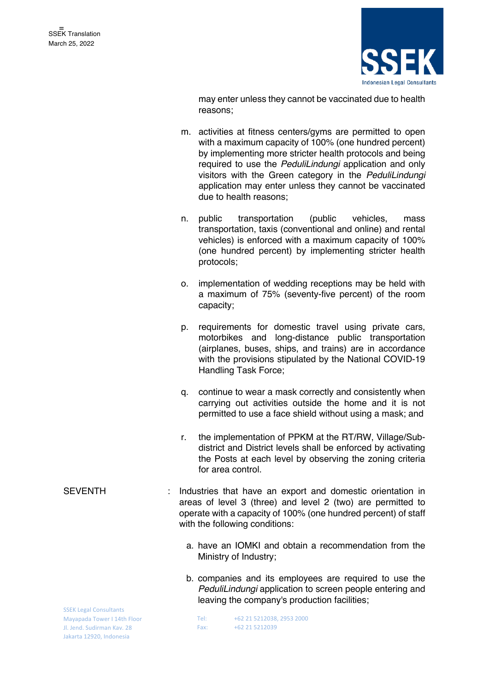

may enter unless they cannot be vaccinated due to health reasons;

- m. activities at fitness centers/gyms are permitted to open with a maximum capacity of 100% (one hundred percent) by implementing more stricter health protocols and being required to use the *PeduliLindungi* application and only visitors with the Green category in the *PeduliLindungi* application may enter unless they cannot be vaccinated due to health reasons;
- n. public transportation (public vehicles, mass transportation, taxis (conventional and online) and rental vehicles) is enforced with a maximum capacity of 100% (one hundred percent) by implementing stricter health protocols;
- o. implementation of wedding receptions may be held with a maximum of 75% (seventy-five percent) of the room capacity;
- p. requirements for domestic travel using private cars, motorbikes and long-distance public transportation (airplanes, buses, ships, and trains) are in accordance with the provisions stipulated by the National COVID-19 Handling Task Force;
- q. continue to wear a mask correctly and consistently when carrying out activities outside the home and it is not permitted to use a face shield without using a mask; and
- r. the implementation of PPKM at the RT/RW, Village/Subdistrict and District levels shall be enforced by activating the Posts at each level by observing the zoning criteria for area control.
- SEVENTH : Industries that have an export and domestic orientation in areas of level 3 (three) and level 2 (two) are permitted to operate with a capacity of 100% (one hundred percent) of staff with the following conditions:
	- a. have an IOMKI and obtain a recommendation from the Ministry of Industry;
	- b. companies and its employees are required to use the *PeduliLindungi* application to screen people entering and leaving the company's production facilities;

SSEK Legal Consultants Mayapada Tower I 14th Floor Jl. Jend. Sudirman Kav. 28 Jakarta 12920, Indonesia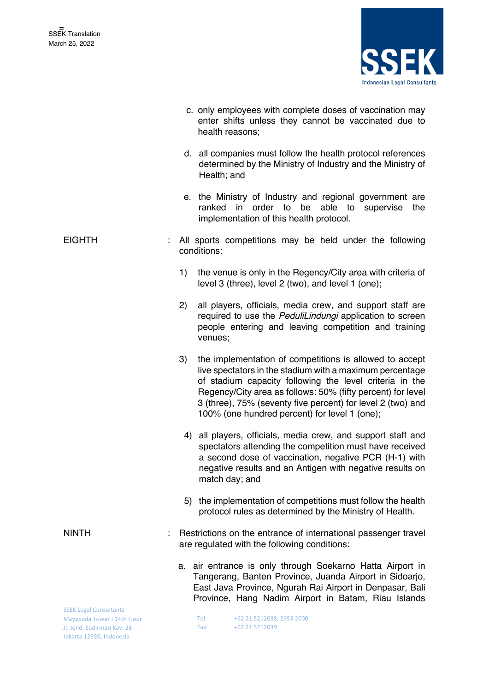

|                                                                                                                        |     | c. only employees with complete doses of vaccination may<br>enter shifts unless they cannot be vaccinated due to<br>health reasons;                                                                                                                                                                                                                           |
|------------------------------------------------------------------------------------------------------------------------|-----|---------------------------------------------------------------------------------------------------------------------------------------------------------------------------------------------------------------------------------------------------------------------------------------------------------------------------------------------------------------|
|                                                                                                                        |     | d. all companies must follow the health protocol references<br>determined by the Ministry of Industry and the Ministry of<br>Health; and                                                                                                                                                                                                                      |
|                                                                                                                        |     | e. the Ministry of Industry and regional government are<br>in<br>order<br>able<br>ranked<br>to<br>be<br>to<br>supervise<br>the<br>implementation of this health protocol.                                                                                                                                                                                     |
| <b>EIGHTH</b>                                                                                                          |     | All sports competitions may be held under the following<br>conditions:                                                                                                                                                                                                                                                                                        |
|                                                                                                                        | 1)  | the venue is only in the Regency/City area with criteria of<br>level 3 (three), level 2 (two), and level 1 (one);                                                                                                                                                                                                                                             |
|                                                                                                                        | (2) | all players, officials, media crew, and support staff are<br>required to use the PeduliLindungi application to screen<br>people entering and leaving competition and training<br>venues;                                                                                                                                                                      |
|                                                                                                                        | 3)  | the implementation of competitions is allowed to accept<br>live spectators in the stadium with a maximum percentage<br>of stadium capacity following the level criteria in the<br>Regency/City area as follows: 50% (fifty percent) for level<br>3 (three), 75% (seventy five percent) for level 2 (two) and<br>100% (one hundred percent) for level 1 (one); |
|                                                                                                                        |     | 4) all players, officials, media crew, and support staff and<br>spectators attending the competition must have received<br>a second dose of vaccination, negative PCR (H-1) with<br>negative results and an Antigen with negative results on<br>match day; and                                                                                                |
|                                                                                                                        | 5)  | the implementation of competitions must follow the health<br>protocol rules as determined by the Ministry of Health.                                                                                                                                                                                                                                          |
| <b>NINTH</b>                                                                                                           |     | Restrictions on the entrance of international passenger travel<br>are regulated with the following conditions:                                                                                                                                                                                                                                                |
|                                                                                                                        |     | a. air entrance is only through Soekarno Hatta Airport in<br>Tangerang, Banten Province, Juanda Airport in Sidoarjo,<br>East Java Province, Ngurah Rai Airport in Denpasar, Bali<br>Province, Hang Nadim Airport in Batam, Riau Islands                                                                                                                       |
| <b>SSEK Legal Consultants</b><br>Mayapada Tower I 14th Floor<br>Jl. Jend. Sudirman Kav. 28<br>Jakarta 12920, Indonesia |     | +62 21 5212038, 2953 2000<br>Tel:<br>+62 21 5212039<br>Fax:                                                                                                                                                                                                                                                                                                   |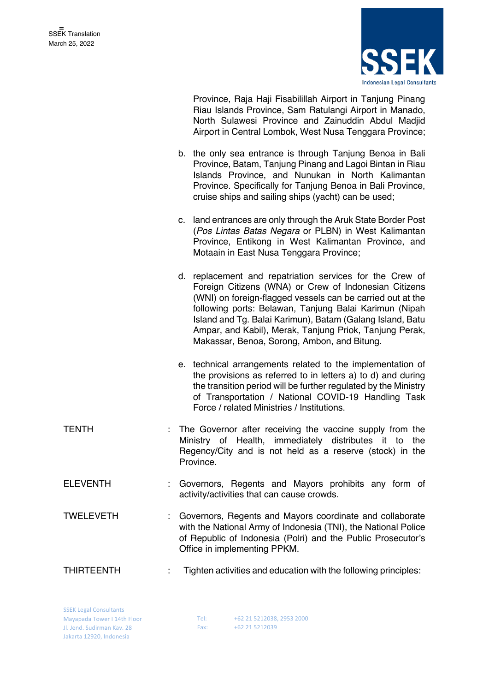

Province, Raja Haji Fisabilillah Airport in Tanjung Pinang Riau Islands Province, Sam Ratulangi Airport in Manado, North Sulawesi Province and Zainuddin Abdul Madjid Airport in Central Lombok, West Nusa Tenggara Province;

- b. the only sea entrance is through Tanjung Benoa in Bali Province, Batam, Tanjung Pinang and Lagoi Bintan in Riau Islands Province, and Nunukan in North Kalimantan Province. Specifically for Tanjung Benoa in Bali Province, cruise ships and sailing ships (yacht) can be used;
- c. land entrances are only through the Aruk State Border Post (*Pos Lintas Batas Negara* or PLBN) in West Kalimantan Province, Entikong in West Kalimantan Province, and Motaain in East Nusa Tenggara Province;
- d. replacement and repatriation services for the Crew of Foreign Citizens (WNA) or Crew of Indonesian Citizens (WNI) on foreign-flagged vessels can be carried out at the following ports: Belawan, Tanjung Balai Karimun (Nipah Island and Tg. Balai Karimun), Batam (Galang Island, Batu Ampar, and Kabil), Merak, Tanjung Priok, Tanjung Perak, Makassar, Benoa, Sorong, Ambon, and Bitung.
- e. technical arrangements related to the implementation of the provisions as referred to in letters a) to d) and during the transition period will be further regulated by the Ministry of Transportation / National COVID-19 Handling Task Force / related Ministries / Institutions.
- TENTH : The Governor after receiving the vaccine supply from the Ministry of Health, immediately distributes it to the Regency/City and is not held as a reserve (stock) in the Province.
- ELEVENTH : Governors, Regents and Mayors prohibits any form of activity/activities that can cause crowds.
- TWELEVETH : Governors, Regents and Mayors coordinate and collaborate with the National Army of Indonesia (TNI), the National Police of Republic of Indonesia (Polri) and the Public Prosecutor's Office in implementing PPKM.
- THIRTEENTH : Tighten activities and education with the following principles:

SSEK Legal Consultants Mayapada Tower I 14th Floor Jl. Jend. Sudirman Kav. 28 Jakarta 12920, Indonesia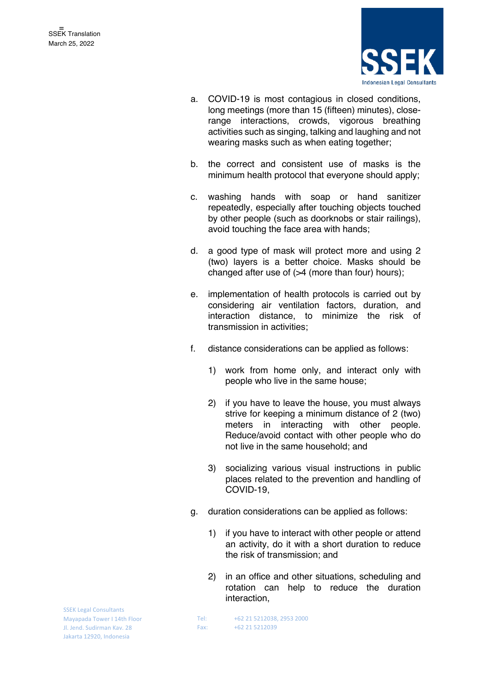

- a. COVID-19 is most contagious in closed conditions, long meetings (more than 15 (fifteen) minutes), closerange interactions, crowds, vigorous breathing activities such as singing, talking and laughing and not wearing masks such as when eating together;
- b. the correct and consistent use of masks is the minimum health protocol that everyone should apply;
- c. washing hands with soap or hand sanitizer repeatedly, especially after touching objects touched by other people (such as doorknobs or stair railings), avoid touching the face area with hands;
- d. a good type of mask will protect more and using 2 (two) layers is a better choice. Masks should be changed after use of (>4 (more than four) hours);
- e. implementation of health protocols is carried out by considering air ventilation factors, duration, and interaction distance, to minimize the risk of transmission in activities;
- f. distance considerations can be applied as follows:
	- 1) work from home only, and interact only with people who live in the same house;
	- 2) if you have to leave the house, you must always strive for keeping a minimum distance of 2 (two) meters in interacting with other people. Reduce/avoid contact with other people who do not live in the same household; and
	- 3) socializing various visual instructions in public places related to the prevention and handling of COVID-19,
- g. duration considerations can be applied as follows:
	- 1) if you have to interact with other people or attend an activity, do it with a short duration to reduce the risk of transmission; and
	- 2) in an office and other situations, scheduling and rotation can help to reduce the duration interaction,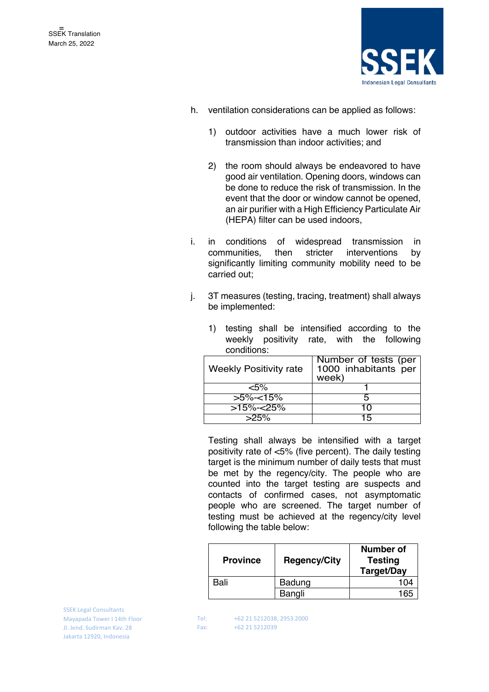

- h. ventilation considerations can be applied as follows:
	- 1) outdoor activities have a much lower risk of transmission than indoor activities; and
	- 2) the room should always be endeavored to have good air ventilation. Opening doors, windows can be done to reduce the risk of transmission. In the event that the door or window cannot be opened, an air purifier with a High Efficiency Particulate Air (HEPA) filter can be used indoors,
- i. in conditions of widespread transmission in communities, then stricter interventions by significantly limiting community mobility need to be carried out;
- j. 3T measures (testing, tracing, treatment) shall always be implemented:

1) testing shall be intensified according to the weekly positivity rate, with the following

| conditions:                   |                                                       |
|-------------------------------|-------------------------------------------------------|
| <b>Weekly Positivity rate</b> | Number of tests (per<br>1000 inhabitants per<br>week) |
| <5%                           |                                                       |
| $>5\%<15\%$                   |                                                       |
| $515\%$ -<25%                 | 10                                                    |
| $>25\%$                       | 15                                                    |

 $>25\%$  15 Testing shall always be intensified with a target positivity rate of <5% (five percent). The daily testing

target is the minimum number of daily tests that must be met by the regency/city. The people who are counted into the target testing are suspects and contacts of confirmed cases, not asymptomatic people who are screened. The target number of testing must be achieved at the regency/city level following the table below:

| <b>Province</b> | <b>Regency/City</b> | Number of<br><b>Testing</b><br>Target/Day |
|-----------------|---------------------|-------------------------------------------|
| Bali            | Badung              | ء∩1                                       |
|                 | Bangli              | 16r                                       |

SSEK Legal Consultants Mayapada Tower I 14th Floor Jl. Jend. Sudirman Kav. 28 Jakarta 12920, Indonesia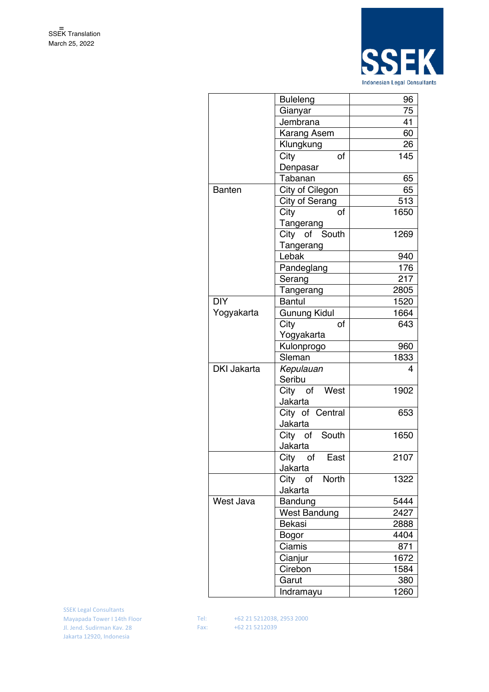

|                    | <b>Buleleng</b>     | 96   |
|--------------------|---------------------|------|
|                    | Gianyar             | 75   |
|                    | Jembrana            | 41   |
|                    | Karang Asem         | 60   |
|                    | Klungkung           | 26   |
|                    | City<br>of          | 145  |
|                    | Denpasar            |      |
|                    | Tabanan             | 65   |
| <b>Banten</b>      | City of Cilegon     | 65   |
|                    | City of Serang      | 513  |
|                    | City<br>of          | 1650 |
|                    | Tangerang           |      |
|                    | City of South       | 1269 |
|                    | Tangerang           |      |
|                    | Lebak               | 940  |
|                    | Pandeglang          | 176  |
|                    | Serang              | 217  |
|                    | Tangerang           | 2805 |
| <b>DIY</b>         | <b>Bantul</b>       | 1520 |
| Yogyakarta         | Gunung Kidul        | 1664 |
|                    | City<br>of          | 643  |
|                    | Yogyakarta          |      |
|                    | Kulonprogo          | 960  |
|                    | Sleman              | 1833 |
| <b>DKI Jakarta</b> | Kepulauan           | 4    |
|                    | Seribu              |      |
|                    | City of West        | 1902 |
|                    | Jakarta             |      |
|                    | City of Central     | 653  |
|                    | Jakarta             |      |
|                    | City of South       | 1650 |
|                    | Jakarta             |      |
|                    | City<br>of<br>East  | 2107 |
|                    | Jakarta             |      |
|                    | North<br>City of    | 1322 |
|                    | Jakarta             |      |
| West Java          | Bandung             | 5444 |
|                    | <b>West Bandung</b> | 2427 |
|                    | Bekasi              | 2888 |
|                    | Bogor               | 4404 |
|                    | Ciamis              | 871  |
|                    | Cianjur             | 1672 |
|                    | Cirebon             | 1584 |
|                    | Garut               | 380  |
|                    | Indramayu           | 1260 |
|                    |                     |      |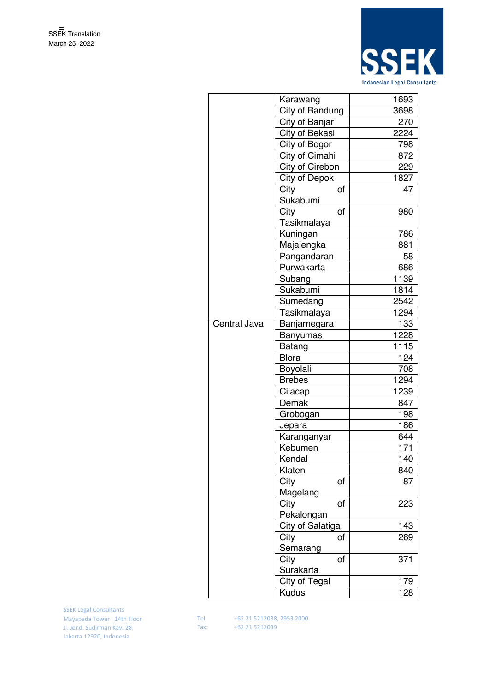

|              | Karawang             | 1693 |
|--------------|----------------------|------|
|              | City of Bandung      | 3698 |
|              | City of Banjar       | 270  |
|              | City of Bekasi       | 2224 |
|              | City of Bogor        | 798  |
|              | City of Cimahi       | 872  |
|              | City of Cirebon      | 229  |
|              | <b>City of Depok</b> | 1827 |
|              | City<br>of           | 47   |
|              | Sukabumi             |      |
|              | City<br>of           | 980  |
|              | Tasikmalaya          |      |
|              | Kuningan             | 786  |
|              | Majalengka           | 881  |
|              | Pangandaran          | 58   |
|              | Purwakarta           | 686  |
|              | Subang               | 1139 |
|              | Sukabumi             | 1814 |
|              | Sumedang             | 2542 |
|              | Tasikmalaya          | 1294 |
| Central Java | Banjarnegara         | 133  |
|              | <b>Banyumas</b>      | 1228 |
|              | Batang               | 1115 |
|              | <b>Blora</b>         | 124  |
|              | Boyolali             | 708  |
|              | <b>Brebes</b>        | 1294 |
|              | Cilacap              | 1239 |
|              | Demak                | 847  |
|              | Grobogan             | 198  |
|              | Jepara               | 186  |
|              | Karanganyar          | 644  |
|              | Kebumen              | 171  |
|              | Kendal               | 140  |
|              | Klaten               | 840  |
|              | City<br>of           | 87   |
|              | Magelang             |      |
|              | City<br>of           | 223  |
|              | Pekalongan           |      |
|              | City of Salatiga     | 143  |
|              | City<br>of           | 269  |
|              | Semarang             |      |
|              | City<br>of           | 371  |
|              | Surakarta            |      |
|              | <b>City of Tegal</b> | 179  |
|              | <b>Kudus</b>         | 128  |
|              |                      |      |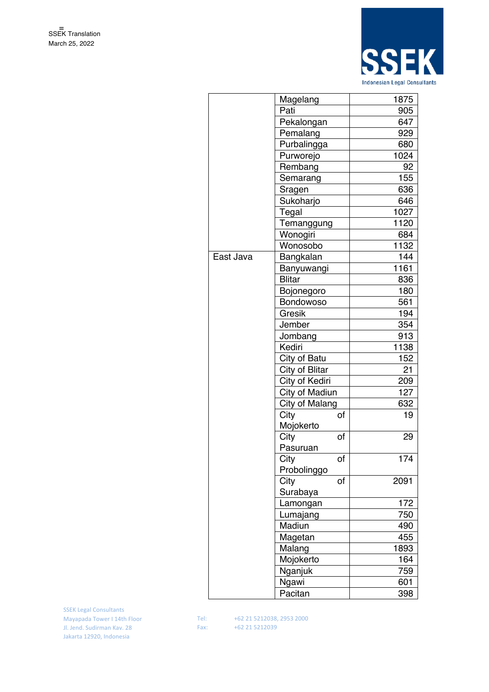

|           | Magelang       | 1875 |
|-----------|----------------|------|
|           | Pati           | 905  |
|           | Pekalongan     | 647  |
|           | Pemalang       | 929  |
|           | Purbalingga    | 680  |
|           | Purworejo      | 1024 |
|           | Rembang        | 92   |
|           | Semarang       | 155  |
|           | Sragen         | 636  |
|           | Sukoharjo      | 646  |
|           | Tegal          | 1027 |
|           | Temanggung     | 1120 |
|           | Wonogiri       | 684  |
|           | Wonosobo       | 1132 |
| East Java | Bangkalan      | 144  |
|           | Banyuwangi     | 1161 |
|           | <b>Blitar</b>  | 836  |
|           | Bojonegoro     | 180  |
|           | Bondowoso      | 561  |
|           | Gresik         | 194  |
|           | Jember         | 354  |
|           | Jombang        | 913  |
|           | Kediri         | 1138 |
|           | City of Batu   | 152  |
|           | City of Blitar | 21   |
|           | City of Kediri | 209  |
|           | City of Madiun | 127  |
|           | City of Malang | 632  |
|           | City<br>of     | 19   |
|           | Mojokerto      |      |
|           | City<br>of     | 29   |
|           | Pasuruan       |      |
|           | City<br>Ωf     | 174  |
|           | Probolinggo    |      |
|           | City<br>of     | 2091 |
|           | Surabaya       |      |
|           | Lamongan       | 172  |
|           | Lumajang       | 750  |
|           | Madiun         | 490  |
|           | Magetan        | 455  |
|           | Malang         | 1893 |
|           | Mojokerto      | 164  |
|           | Nganjuk        | 759  |
|           | Ngawi          | 601  |
|           | Pacitan        | 398  |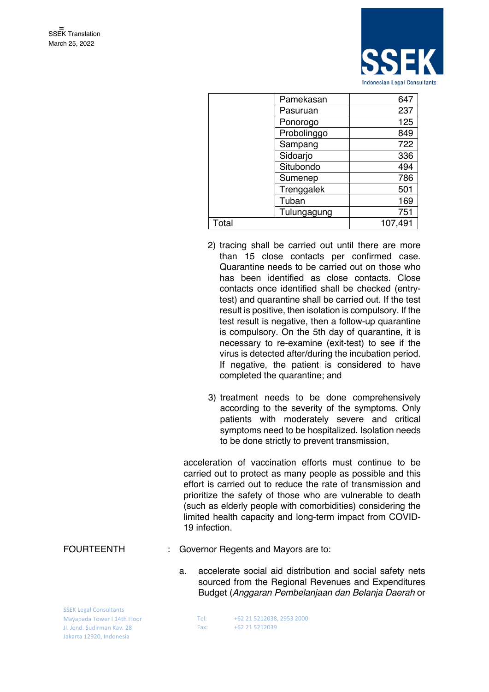

|       | Pamekasan   | 647     |
|-------|-------------|---------|
|       | Pasuruan    | 237     |
|       | Ponorogo    | 125     |
|       | Probolinggo | 849     |
|       | Sampang     | 722     |
|       | Sidoarjo    | 336     |
|       | Situbondo   | 494     |
|       | Sumenep     | 786     |
|       | Trenggalek  | 501     |
|       | Tuban       | 169     |
|       | Tulungagung | 751     |
| Total |             | 107,491 |

- 2) tracing shall be carried out until there are more than 15 close contacts per confirmed case. Quarantine needs to be carried out on those who has been identified as close contacts. Close contacts once identified shall be checked (entrytest) and quarantine shall be carried out. If the test result is positive, then isolation is compulsory. If the test result is negative, then a follow-up quarantine is compulsory. On the 5th day of quarantine, it is necessary to re-examine (exit-test) to see if the virus is detected after/during the incubation period. If negative, the patient is considered to have completed the quarantine; and
- 3) treatment needs to be done comprehensively according to the severity of the symptoms. Only patients with moderately severe and critical symptoms need to be hospitalized. Isolation needs to be done strictly to prevent transmission,

acceleration of vaccination efforts must continue to be carried out to protect as many people as possible and this effort is carried out to reduce the rate of transmission and prioritize the safety of those who are vulnerable to death (such as elderly people with comorbidities) considering the limited health capacity and long-term impact from COVID-19 infection.

#### FOURTEENTH : Governor Regents and Mayors are to:

a. accelerate social aid distribution and social safety nets sourced from the Regional Revenues and Expenditures Budget (*Anggaran Pembelanjaan dan Belanja Daerah* or

SSEK Legal Consultants Mayapada Tower I 14th Floor Jl. Jend. Sudirman Kav. 28 Jakarta 12920, Indonesia

| Tel: |  | +62 21 5212038, 2953 2000 |  |
|------|--|---------------------------|--|
| Fax: |  | +62 21 5212039            |  |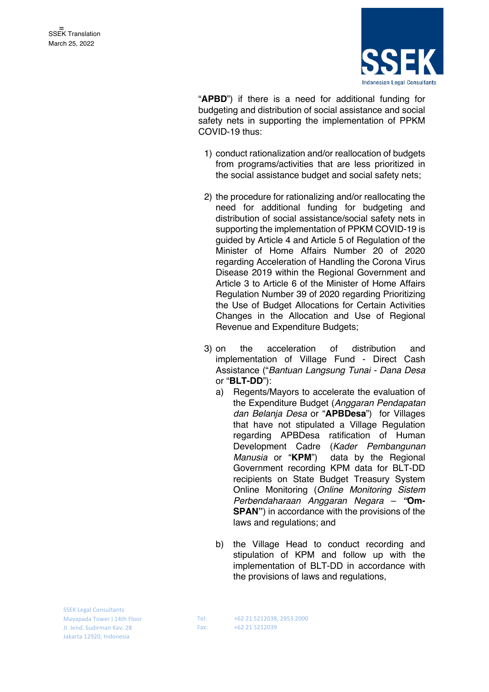

"**APBD**") if there is a need for additional funding for budgeting and distribution of social assistance and social safety nets in supporting the implementation of PPKM COVID-19 thus:

- 1) conduct rationalization and/or reallocation of budgets from programs/activities that are less prioritized in the social assistance budget and social safety nets;
- 2) the procedure for rationalizing and/or reallocating the need for additional funding for budgeting and distribution of social assistance/social safety nets in supporting the implementation of PPKM COVID-19 is guided by Article 4 and Article 5 of Regulation of the Minister of Home Affairs Number 20 of 2020 regarding Acceleration of Handling the Corona Virus Disease 2019 within the Regional Government and Article 3 to Article 6 of the Minister of Home Affairs Regulation Number 39 of 2020 regarding Prioritizing the Use of Budget Allocations for Certain Activities Changes in the Allocation and Use of Regional Revenue and Expenditure Budgets;
- 3) on the acceleration of distribution and implementation of Village Fund - Direct Cash Assistance ("*Bantuan Langsung Tunai - Dana Desa* or "**BLT-DD**"):
	- a) Regents/Mayors to accelerate the evaluation of the Expenditure Budget (*Anggaran Pendapatan dan Belanja Desa* or "**APBDesa**") for Villages that have not stipulated a Village Regulation regarding APBDesa ratification of Human Development Cadre (*Kader Pembangunan*  data by the Regional Government recording KPM data for BLT-DD recipients on State Budget Treasury System Online Monitoring (*Online Monitoring Sistem Perbendaharaan Anggaran Negara – "***Om-SPAN"**) in accordance with the provisions of the laws and regulations; and
	- b) the Village Head to conduct recording and stipulation of KPM and follow up with the implementation of BLT-DD in accordance with the provisions of laws and regulations,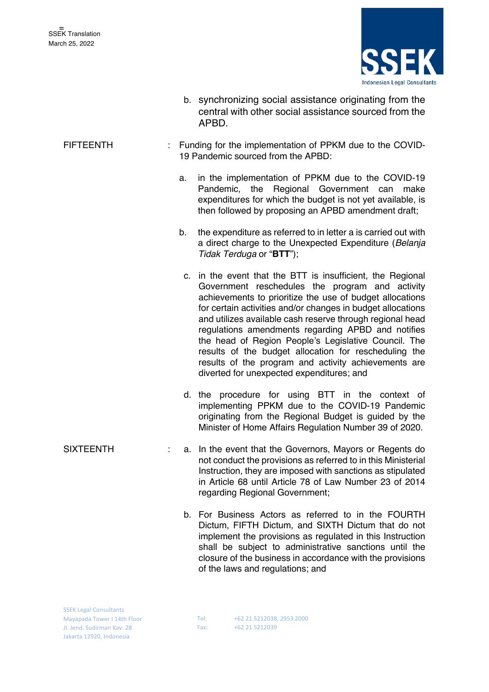

- b. synchronizing social assistance originating from the central with other social assistance sourced from the APBD.
- FIFTEENTH : Funding for the implementation of PPKM due to the COVID-19 Pandemic sourced from the APBD:
	- a. in the implementation of PPKM due to the COVID-19 Pandemic, the Regional Government can make expenditures for which the budget is not yet available, is then followed by proposing an APBD amendment draft;
	- b. the expenditure as referred to in letter a is carried out with a direct charge to the Unexpected Expenditure (*Belanja Tidak Terduga* or "**BTT**");
	- c. in the event that the BTT is insufficient, the Regional Government reschedules the program and activity achievements to prioritize the use of budget allocations for certain activities and/or changes in budget allocations and utilizes available cash reserve through regional head regulations amendments regarding APBD and notifies the head of Region People's Legislative Council. The results of the budget allocation for rescheduling the results of the program and activity achievements are diverted for unexpected expenditures; and
	- d. the procedure for using BTT in the context of implementing PPKM due to the COVID-19 Pandemic originating from the Regional Budget is guided by the Minister of Home Affairs Regulation Number 39 of 2020.
- SIXTEENTH : a. In the event that the Governors, Mayors or Regents do not conduct the provisions as referred to in this Ministerial Instruction, they are imposed with sanctions as stipulated in Article 68 until Article 78 of Law Number 23 of 2014 regarding Regional Government;
	- b. For Business Actors as referred to in the FOURTH Dictum, FIFTH Dictum, and SIXTH Dictum that do not implement the provisions as regulated in this Instruction shall be subject to administrative sanctions until the closure of the business in accordance with the provisions of the laws and regulations; and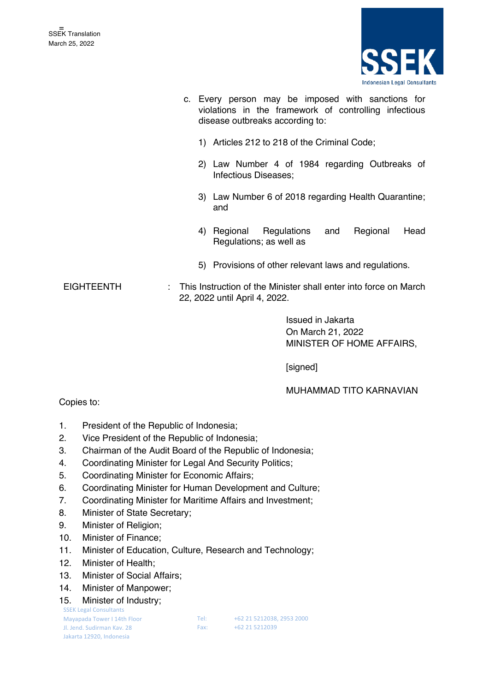

- c. Every person may be imposed with sanctions for violations in the framework of controlling infectious disease outbreaks according to:
	- 1) Articles 212 to 218 of the Criminal Code;
	- 2) Law Number 4 of 1984 regarding Outbreaks of Infectious Diseases;
	- 3) Law Number 6 of 2018 regarding Health Quarantine; and
	- 4) Regional Regulations and Regional Head Regulations; as well as
	- 5) Provisions of other relevant laws and regulations.
- EIGHTEENTH : This Instruction of the Minister shall enter into force on March 22, 2022 until April 4, 2022.

Issued in Jakarta On March 21, 2022 MINISTER OF HOME AFFAIRS,

[signed]

## MUHAMMAD TITO KARNAVIAN

#### Copies to:

- 1. President of the Republic of Indonesia;
- 2. Vice President of the Republic of Indonesia;
- 3. Chairman of the Audit Board of the Republic of Indonesia;
- 4. Coordinating Minister for Legal And Security Politics;
- 5. Coordinating Minister for Economic Affairs;
- 6. Coordinating Minister for Human Development and Culture;
- 7. Coordinating Minister for Maritime Affairs and Investment;
- 8. Minister of State Secretary;
- 9. Minister of Religion;
- 10. Minister of Finance;
- 11. Minister of Education, Culture, Research and Technology;
- 12. Minister of Health;
- 13. Minister of Social Affairs;
- 14. Minister of Manpower;
- 15. Minister of Industry;

SSEK Legal Consultants Mayapada Tower I 14th Floor

Jl. Jend. Sudirman Kav. 28 Jakarta 12920, Indonesia